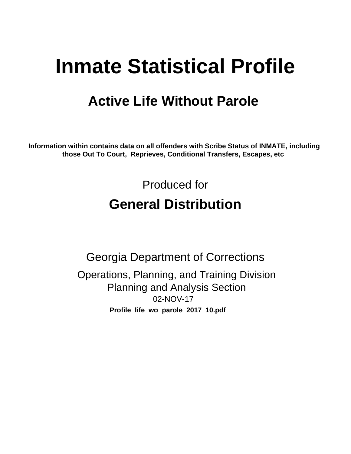# **Inmate Statistical Profile**

# **Active Life Without Parole**

Information within contains data on all offenders with Scribe Status of INMATE, including those Out To Court, Reprieves, Conditional Transfers, Escapes, etc

> Produced for **General Distribution**

**Georgia Department of Corrections** Operations, Planning, and Training Division **Planning and Analysis Section** 02-NOV-17 Profile\_life\_wo\_parole\_2017\_10.pdf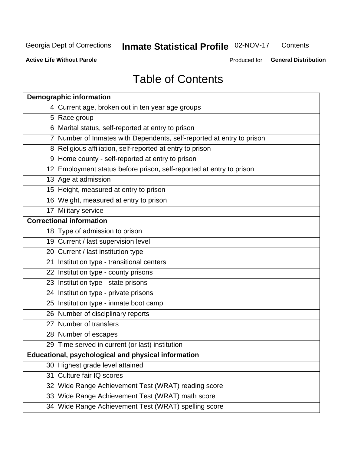#### **Inmate Statistical Profile 02-NOV-17** Contents

**Active Life Without Parole** 

Produced for General Distribution

# **Table of Contents**

|    | <b>Demographic information</b>                                        |
|----|-----------------------------------------------------------------------|
|    | 4 Current age, broken out in ten year age groups                      |
|    | 5 Race group                                                          |
|    | 6 Marital status, self-reported at entry to prison                    |
|    | 7 Number of Inmates with Dependents, self-reported at entry to prison |
|    | 8 Religious affiliation, self-reported at entry to prison             |
|    | 9 Home county - self-reported at entry to prison                      |
|    | 12 Employment status before prison, self-reported at entry to prison  |
|    | 13 Age at admission                                                   |
|    | 15 Height, measured at entry to prison                                |
|    | 16 Weight, measured at entry to prison                                |
|    | 17 Military service                                                   |
|    | <b>Correctional information</b>                                       |
|    | 18 Type of admission to prison                                        |
|    | 19 Current / last supervision level                                   |
|    | 20 Current / last institution type                                    |
|    | 21 Institution type - transitional centers                            |
|    | 22 Institution type - county prisons                                  |
|    | 23 Institution type - state prisons                                   |
|    | 24 Institution type - private prisons                                 |
|    | 25 Institution type - inmate boot camp                                |
|    | 26 Number of disciplinary reports                                     |
|    | 27 Number of transfers                                                |
|    | 28 Number of escapes                                                  |
|    | 29 Time served in current (or last) institution                       |
|    | Educational, psychological and physical information                   |
|    | 30 Highest grade level attained                                       |
| 31 | Culture fair IQ scores                                                |
|    | 32 Wide Range Achievement Test (WRAT) reading score                   |
|    | 33 Wide Range Achievement Test (WRAT) math score                      |
|    | 34 Wide Range Achievement Test (WRAT) spelling score                  |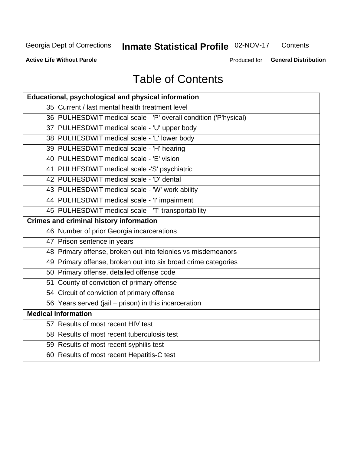# **Inmate Statistical Profile 02-NOV-17**

Contents

**Active Life Without Parole** 

Produced for General Distribution

# **Table of Contents**

| Educational, psychological and physical information              |
|------------------------------------------------------------------|
| 35 Current / last mental health treatment level                  |
| 36 PULHESDWIT medical scale - 'P' overall condition ('P'hysical) |
| 37 PULHESDWIT medical scale - 'U' upper body                     |
| 38 PULHESDWIT medical scale - 'L' lower body                     |
| 39 PULHESDWIT medical scale - 'H' hearing                        |
| 40 PULHESDWIT medical scale - 'E' vision                         |
| 41 PULHESDWIT medical scale -'S' psychiatric                     |
| 42 PULHESDWIT medical scale - 'D' dental                         |
| 43 PULHESDWIT medical scale - 'W' work ability                   |
| 44 PULHESDWIT medical scale - 'I' impairment                     |
| 45 PULHESDWIT medical scale - 'T' transportability               |
| <b>Crimes and criminal history information</b>                   |
| 46 Number of prior Georgia incarcerations                        |
| 47 Prison sentence in years                                      |
| 48 Primary offense, broken out into felonies vs misdemeanors     |
| 49 Primary offense, broken out into six broad crime categories   |
| 50 Primary offense, detailed offense code                        |
| 51 County of conviction of primary offense                       |
| 54 Circuit of conviction of primary offense                      |
| 56 Years served (jail + prison) in this incarceration            |
| <b>Medical information</b>                                       |
| 57 Results of most recent HIV test                               |
| 58 Results of most recent tuberculosis test                      |
| 59 Results of most recent syphilis test                          |
| 60 Results of most recent Hepatitis-C test                       |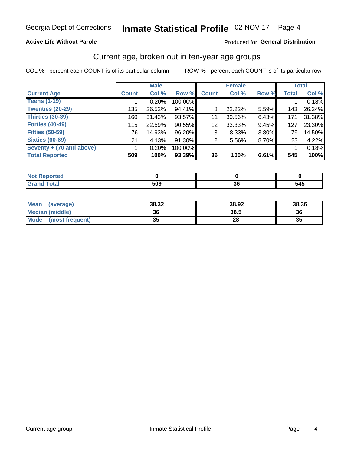#### **Active Life Without Parole**

#### Produced for General Distribution

## Current age, broken out in ten-year age groups

COL % - percent each COUNT is of its particular column

|                          | <b>Male</b>  |        |           | <b>Female</b> |          |          | <b>Total</b> |        |
|--------------------------|--------------|--------|-----------|---------------|----------|----------|--------------|--------|
| <b>Current Age</b>       | <b>Count</b> | Col %  | Row %     | <b>Count</b>  | Col %    | Row %    | <b>Total</b> | Col %  |
| <b>Teens (1-19)</b>      |              | 0.20%  | 100.00%   |               |          |          |              | 0.18%  |
| <b>Twenties (20-29)</b>  | 135          | 26.52% | 94.41%    | 8             | 22.22%   | $5.59\%$ | 143          | 26.24% |
| <b>Thirties (30-39)</b>  | 160          | 31.43% | 93.57%    | 11            | 30.56%   | $6.43\%$ | 171          | 31.38% |
| <b>Forties (40-49)</b>   | 115          | 22.59% | 90.55%    | 12            | 33.33%   | 9.45%    | 127          | 23.30% |
| <b>Fifties (50-59)</b>   | 761          | 14.93% | 96.20%    | 3             | 8.33%    | 3.80%    | 79           | 14.50% |
| <b>Sixties (60-69)</b>   | 21           | 4.13%  | 91.30%    | 2             | $5.56\%$ | 8.70%    | 23           | 4.22%  |
| Seventy + (70 and above) |              | 0.20%  | 100.00%   |               |          |          |              | 0.18%  |
| <b>Total Reported</b>    | 509          | 100%   | $93.39\%$ | 36            | 100%     | 6.61%    | 545          | 100%   |

| ______ | <b>EOO</b><br>ວບວ | ^'<br>vu | 545 |
|--------|-------------------|----------|-----|

| <b>Mean</b><br>(average) | 38.32    | 38.92 | 38.36 |
|--------------------------|----------|-------|-------|
| Median (middle)          | 36       | 38.5  | 36    |
| Mode<br>(most frequent)  | 25<br>vu | 28    | 35    |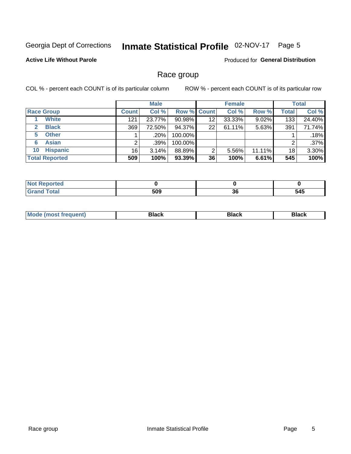#### Inmate Statistical Profile 02-NOV-17 Page 5

### **Active Life Without Parole**

Produced for General Distribution

## Race group

COL % - percent each COUNT is of its particular column

|                              | <b>Male</b>     |         |           | <b>Female</b>      |        |        | <b>Total</b> |         |
|------------------------------|-----------------|---------|-----------|--------------------|--------|--------|--------------|---------|
| <b>Race Group</b>            | <b>Count</b>    | Col %   |           | <b>Row % Count</b> | Col %  | Row %  | Total        | Col %   |
| <b>White</b>                 | 121             | 23.77%  | $90.98\%$ | 12                 | 33.33% | 9.02%  | 133          | 24.40%  |
| <b>Black</b><br>$\mathbf{2}$ | 369             | 72.50%  | 94.37%    | 22                 | 61.11% | 5.63%  | 391          | 71.74%  |
| <b>Other</b><br>5.           |                 | $.20\%$ | 100.00%   |                    |        |        |              | .18%    |
| <b>Asian</b><br>6            |                 | .39%    | 100.00%   |                    |        |        | 2            | $.37\%$ |
| <b>Hispanic</b><br>10        | 16 <sub>1</sub> | 3.14%   | 88.89%    | 2                  | 5.56%  | 11.11% | 18           | 3.30%   |
| <b>Total Reported</b>        | 509             | 100%    | $93.39\%$ | 36                 | 100%   | 6.61%  | 545          | 100%    |

| د مي<br>teo                     |              |          |              |
|---------------------------------|--------------|----------|--------------|
| $f \wedge f \wedge f$<br>______ | 509<br>- - - | ^^<br>კნ | - - -<br>O40 |

| маст |  | M |  |  |  |
|------|--|---|--|--|--|
|------|--|---|--|--|--|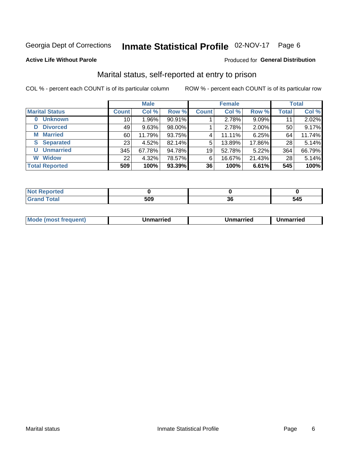## Inmate Statistical Profile 02-NOV-17 Page 6

#### **Active Life Without Parole**

### Produced for General Distribution

## Marital status, self-reported at entry to prison

COL % - percent each COUNT is of its particular column

|                            |                 | <b>Male</b> |        |              | <b>Female</b> |        |              | <b>Total</b> |
|----------------------------|-----------------|-------------|--------|--------------|---------------|--------|--------------|--------------|
| <b>Marital Status</b>      | <b>Count</b>    | Col %       | Row %  | <b>Count</b> | Col %         | Row %  | <b>Total</b> | Col %        |
| <b>Unknown</b><br>$\bf{0}$ | 10              | $1.96\%$    | 90.91% |              | 2.78%         | 9.09%  | 11           | 2.02%        |
| <b>Divorced</b><br>D       | 49              | 9.63%       | 98.00% |              | 2.78%         | 2.00%  | 50           | 9.17%        |
| <b>Married</b><br>М        | 60              | 11.79%      | 93.75% | 4            | 11.11%        | 6.25%  | 64           | 11.74%       |
| <b>S</b> Separated         | 23 <sub>1</sub> | 4.52%       | 82.14% | 5            | 13.89%        | 17.86% | 28           | 5.14%        |
| <b>Unmarried</b><br>U      | 345             | 67.78%      | 94.78% | 19           | 52.78%        | 5.22%  | 364          | 66.79%       |
| <b>Widow</b><br>W          | 22              | 4.32%       | 78.57% | 6            | 16.67%        | 21.43% | 28           | 5.14%        |
| <b>Total Reported</b>      | 509             | 100%        | 93.39% | 36           | 100%          | 6.61%  | 545          | 100%         |

| ortea<br>NOT<br>. <b>.</b> |     |    |     |
|----------------------------|-----|----|-----|
| $T_{n+1}$                  | rno | ^^ | 545 |
| υιαι                       | ວບະ | υc |     |

| <b>Mode</b><br>(most frequent)<br>Jnmarried | <b>Unmarried</b> | Unmarried |
|---------------------------------------------|------------------|-----------|
|---------------------------------------------|------------------|-----------|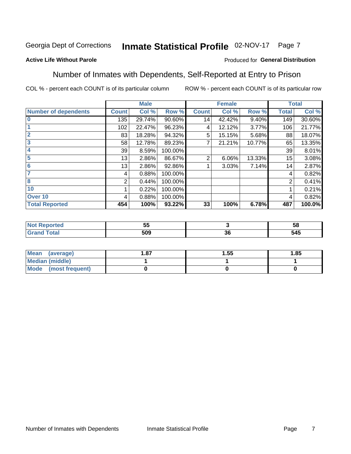#### Inmate Statistical Profile 02-NOV-17 Page 7

#### **Active Life Without Parole**

#### Produced for General Distribution

## Number of Inmates with Dependents, Self-Reported at Entry to Prison

COL % - percent each COUNT is of its particular column

|                             |              | <b>Male</b> |         |              | <b>Female</b> |        |              | <b>Total</b> |
|-----------------------------|--------------|-------------|---------|--------------|---------------|--------|--------------|--------------|
| <b>Number of dependents</b> | <b>Count</b> | Col %       | Row %   | <b>Count</b> | Col %         | Row %  | <b>Total</b> | Col %        |
| $\bf{0}$                    | 135          | 29.74%      | 90.60%  | 14           | 42.42%        | 9.40%  | 149          | 30.60%       |
|                             | 102          | 22.47%      | 96.23%  | 4            | 12.12%        | 3.77%  | 106          | 21.77%       |
| $\overline{2}$              | 83           | 18.28%      | 94.32%  | 5            | 15.15%        | 5.68%  | 88           | 18.07%       |
| 3                           | 58           | 12.78%      | 89.23%  | 7            | 21.21%        | 10.77% | 65           | 13.35%       |
| 4                           | 39           | 8.59%       | 100.00% |              |               |        | 39           | 8.01%        |
| 5                           | 13           | 2.86%       | 86.67%  | 2            | 6.06%         | 13.33% | 15           | 3.08%        |
| $6\phantom{1}6$             | 13           | 2.86%       | 92.86%  |              | 3.03%         | 7.14%  | 14           | 2.87%        |
| 7                           | 4            | 0.88%       | 100.00% |              |               |        | 4            | 0.82%        |
| 8                           | 2            | 0.44%       | 100.00% |              |               |        | 2            | 0.41%        |
| 10                          |              | 0.22%       | 100.00% |              |               |        |              | 0.21%        |
| Over 10                     | 4            | 0.88%       | 100.00% |              |               |        | 4            | 0.82%        |
| <b>Total Reported</b>       | 454          | 100%        | 93.22%  | 33           | 100%          | 6.78%  | 487          | 100.0%       |

| --<br>Ju    |             | ჯ                 |
|-------------|-------------|-------------------|
| EOO<br>ົບບະ | $\sim$<br>◡ | <b>EAE</b><br>ว4ว |

| <b>Mean</b><br>(average) | . 87 | 1.55 | 1.85 |
|--------------------------|------|------|------|
| <b>Median (middle)</b>   |      |      |      |
| Mode (most frequent)     |      |      |      |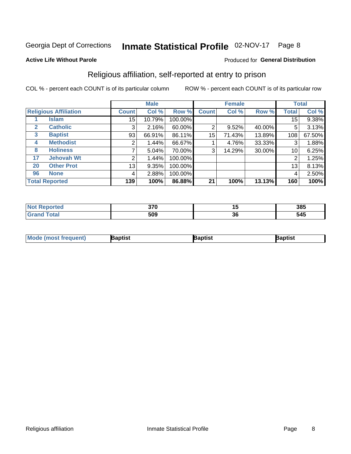#### Inmate Statistical Profile 02-NOV-17 Page 8

#### **Active Life Without Parole**

#### Produced for General Distribution

## Religious affiliation, self-reported at entry to prison

COL % - percent each COUNT is of its particular column

|              |                              | <b>Male</b>     |        |         |              | <b>Female</b> |        |        | <b>Total</b> |
|--------------|------------------------------|-----------------|--------|---------|--------------|---------------|--------|--------|--------------|
|              | <b>Religious Affiliation</b> | <b>Count</b>    | Col %  | Row %   | <b>Count</b> | Col %         | Row %  | Total  | Col %        |
|              | Islam                        | 15              | 10.79% | 100.00% |              |               |        | 15     | 9.38%        |
| 2            | <b>Catholic</b>              | 3               | 2.16%  | 60.00%  | 2            | 9.52%         | 40.00% | 5      | 3.13%        |
| $\mathbf{3}$ | <b>Baptist</b>               | 93              | 66.91% | 86.11%  | 15           | 71.43%        | 13.89% | 108    | 67.50%       |
| 4            | <b>Methodist</b>             | 2               | 1.44%  | 66.67%  |              | 4.76%         | 33.33% | ົ<br>3 | 1.88%        |
| 8            | <b>Holiness</b>              |                 | 5.04%  | 70.00%  | 3            | 14.29%        | 30.00% | 10     | 6.25%        |
| 17           | <b>Jehovah Wt</b>            | 2               | 1.44%  | 100.00% |              |               |        | 2      | 1.25%        |
| 20           | <b>Other Prot</b>            | 13 <sub>1</sub> | 9.35%  | 100.00% |              |               |        | 13     | 8.13%        |
| 96           | <b>None</b>                  | 4               | 2.88%  | 100.00% |              |               |        | 4      | 2.50%        |
|              | <b>Total Reported</b>        | 139             | 100%   | 86.88%  | 21           | 100%          | 13.13% | 160    | 100%         |

| rreto | $\sim$<br>ט וע | 1 J                | 385 |
|-------|----------------|--------------------|-----|
|       | 509            | $\mathbf{z}$<br>οu | 545 |

| <b>Mo</b><br>าptist<br><b>'a</b> ptist<br>3aptis'<br>frequent)<br>re imost i. |  |  |
|-------------------------------------------------------------------------------|--|--|
|                                                                               |  |  |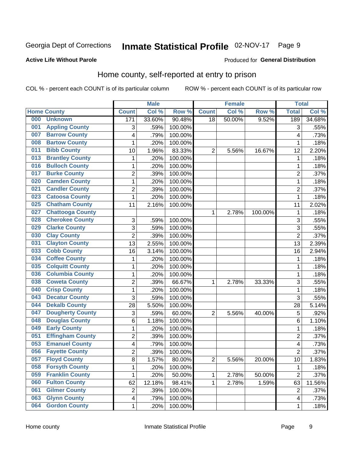#### Inmate Statistical Profile 02-NOV-17 Page 9

#### **Active Life Without Parole**

#### Produced for General Distribution

## Home county, self-reported at entry to prison

COL % - percent each COUNT is of its particular column

|     |                         |                  | <b>Male</b> |         |                | <b>Female</b> |         | <b>Total</b>            |        |
|-----|-------------------------|------------------|-------------|---------|----------------|---------------|---------|-------------------------|--------|
|     | <b>Home County</b>      | <b>Count</b>     | Col %       | Row %   | <b>Count</b>   | Col %         | Row %   | <b>Total</b>            | Col %  |
| 000 | <b>Unknown</b>          | $\overline{171}$ | 33.60%      | 90.48%  | 18             | 50.00%        | 9.52%   | 189                     | 34.68% |
| 001 | <b>Appling County</b>   | 3                | .59%        | 100.00% |                |               |         | 3                       | .55%   |
| 007 | <b>Barrow County</b>    | 4                | .79%        | 100.00% |                |               |         | 4                       | .73%   |
| 008 | <b>Bartow County</b>    | 1                | .20%        | 100.00% |                |               |         | 1                       | .18%   |
| 011 | <b>Bibb County</b>      | 10               | 1.96%       | 83.33%  | $\overline{2}$ | 5.56%         | 16.67%  | 12                      | 2.20%  |
| 013 | <b>Brantley County</b>  | 1                | .20%        | 100.00% |                |               |         | 1                       | .18%   |
| 016 | <b>Bulloch County</b>   | 1                | .20%        | 100.00% |                |               |         | 1                       | .18%   |
| 017 | <b>Burke County</b>     | 2                | .39%        | 100.00% |                |               |         | $\overline{c}$          | .37%   |
| 020 | <b>Camden County</b>    | $\mathbf 1$      | .20%        | 100.00% |                |               |         | 1                       | .18%   |
| 021 | <b>Candler County</b>   | 2                | .39%        | 100.00% |                |               |         | $\overline{c}$          | .37%   |
| 023 | <b>Catoosa County</b>   | 1                | .20%        | 100.00% |                |               |         | 1                       | .18%   |
| 025 | <b>Chatham County</b>   | 11               | 2.16%       | 100.00% |                |               |         | 11                      | 2.02%  |
| 027 | <b>Chattooga County</b> |                  |             |         | 1              | 2.78%         | 100.00% | 1                       | .18%   |
| 028 | <b>Cherokee County</b>  | 3                | .59%        | 100.00% |                |               |         | 3                       | .55%   |
| 029 | <b>Clarke County</b>    | 3                | .59%        | 100.00% |                |               |         | 3                       | .55%   |
| 030 | <b>Clay County</b>      | $\overline{2}$   | .39%        | 100.00% |                |               |         | $\overline{2}$          | .37%   |
| 031 | <b>Clayton County</b>   | 13               | 2.55%       | 100.00% |                |               |         | 13                      | 2.39%  |
| 033 | <b>Cobb County</b>      | 16               | 3.14%       | 100.00% |                |               |         | 16                      | 2.94%  |
| 034 | <b>Coffee County</b>    | 1                | .20%        | 100.00% |                |               |         | 1                       | .18%   |
| 035 | <b>Colquitt County</b>  | 1                | .20%        | 100.00% |                |               |         | 1                       | .18%   |
| 036 | <b>Columbia County</b>  | $\mathbf 1$      | .20%        | 100.00% |                |               |         | 1                       | .18%   |
| 038 | <b>Coweta County</b>    | $\overline{c}$   | .39%        | 66.67%  | 1              | 2.78%         | 33.33%  | 3                       | .55%   |
| 040 | <b>Crisp County</b>     | $\mathbf 1$      | .20%        | 100.00% |                |               |         | 1                       | .18%   |
| 043 | <b>Decatur County</b>   | 3                | .59%        | 100.00% |                |               |         | 3                       | .55%   |
| 044 | <b>Dekalb County</b>    | 28               | 5.50%       | 100.00% |                |               |         | 28                      | 5.14%  |
| 047 | <b>Dougherty County</b> | 3                | .59%        | 60.00%  | $\overline{2}$ | 5.56%         | 40.00%  | 5                       | .92%   |
| 048 | <b>Douglas County</b>   | 6                | 1.18%       | 100.00% |                |               |         | 6                       | 1.10%  |
| 049 | <b>Early County</b>     | 1                | .20%        | 100.00% |                |               |         | 1                       | .18%   |
| 051 | <b>Effingham County</b> | 2                | .39%        | 100.00% |                |               |         | 2                       | .37%   |
| 053 | <b>Emanuel County</b>   | 4                | .79%        | 100.00% |                |               |         | 4                       | .73%   |
| 056 | <b>Fayette County</b>   | $\overline{2}$   | .39%        | 100.00% |                |               |         | $\overline{2}$          | .37%   |
| 057 | <b>Floyd County</b>     | 8                | 1.57%       | 80.00%  | 2              | 5.56%         | 20.00%  | 10                      | 1.83%  |
| 058 | <b>Forsyth County</b>   | 1                | .20%        | 100.00% |                |               |         | 1                       | .18%   |
| 059 | <b>Franklin County</b>  | 1                | .20%        | 50.00%  | 1              | 2.78%         | 50.00%  | $\overline{2}$          | .37%   |
| 060 | <b>Fulton County</b>    | 62               | 12.18%      | 98.41%  | 1              | 2.78%         | 1.59%   | 63                      | 11.56% |
| 061 | <b>Gilmer County</b>    | $\overline{2}$   | .39%        | 100.00% |                |               |         | $\overline{2}$          | .37%   |
| 063 | <b>Glynn County</b>     | 4                | .79%        | 100.00% |                |               |         | $\overline{\mathbf{4}}$ | .73%   |
| 064 | <b>Gordon County</b>    | $\mathbf{1}$     | .20%        | 100.00% |                |               |         | 1                       | .18%   |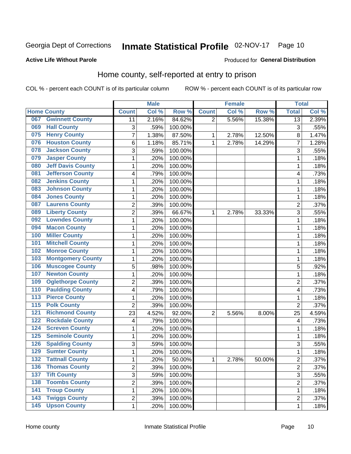## Inmate Statistical Profile 02-NOV-17 Page 10

#### **Active Life Without Parole**

### Produced for General Distribution

## Home county, self-reported at entry to prison

COL % - percent each COUNT is of its particular column

|                  |                          |                | <b>Male</b> |                  |                | <b>Female</b> |        | <b>Total</b>    |       |
|------------------|--------------------------|----------------|-------------|------------------|----------------|---------------|--------|-----------------|-------|
|                  | <b>Home County</b>       | <b>Count</b>   | Col %       | Row <sup>%</sup> | <b>Count</b>   | Col %         | Row %  | <b>Total</b>    | Col % |
| 067              | <b>Gwinnett County</b>   | 11             | 2.16%       | 84.62%           | 2              | 5.56%         | 15.38% | $\overline{13}$ | 2.39% |
| 069              | <b>Hall County</b>       | 3              | .59%        | 100.00%          |                |               |        | 3               | .55%  |
| 075              | <b>Henry County</b>      | $\overline{7}$ | 1.38%       | 87.50%           | 1              | 2.78%         | 12.50% | 8               | 1.47% |
| 076              | <b>Houston County</b>    | 6              | 1.18%       | 85.71%           | 1              | 2.78%         | 14.29% | 7               | 1.28% |
| 078              | <b>Jackson County</b>    | 3              | .59%        | 100.00%          |                |               |        | 3               | .55%  |
| 079              | <b>Jasper County</b>     | $\mathbf 1$    | .20%        | 100.00%          |                |               |        | 1               | .18%  |
| 080              | <b>Jeff Davis County</b> | $\mathbf 1$    | .20%        | 100.00%          |                |               |        | 1               | .18%  |
| 081              | <b>Jefferson County</b>  | 4              | .79%        | 100.00%          |                |               |        | 4               | .73%  |
| 082              | <b>Jenkins County</b>    | 1              | .20%        | 100.00%          |                |               |        | 1               | .18%  |
| 083              | <b>Johnson County</b>    | 1              | .20%        | 100.00%          |                |               |        | 1               | .18%  |
| 084              | <b>Jones County</b>      | $\mathbf 1$    | .20%        | 100.00%          |                |               |        | 1               | .18%  |
| 087              | <b>Laurens County</b>    | $\overline{c}$ | .39%        | 100.00%          |                |               |        | $\overline{c}$  | .37%  |
| 089              | <b>Liberty County</b>    | $\overline{2}$ | .39%        | 66.67%           | 1              | 2.78%         | 33.33% | 3               | .55%  |
| 092              | <b>Lowndes County</b>    | $\mathbf 1$    | .20%        | 100.00%          |                |               |        | 1               | .18%  |
| 094              | <b>Macon County</b>      | $\mathbf 1$    | .20%        | 100.00%          |                |               |        | 1               | .18%  |
| 100              | <b>Miller County</b>     | 1              | .20%        | 100.00%          |                |               |        | 1               | .18%  |
| 101              | <b>Mitchell County</b>   | $\mathbf 1$    | .20%        | 100.00%          |                |               |        | 1               | .18%  |
| 102              | <b>Monroe County</b>     | $\mathbf 1$    | .20%        | 100.00%          |                |               |        | 1               | .18%  |
| 103              | <b>Montgomery County</b> | $\mathbf 1$    | .20%        | 100.00%          |                |               |        | 1               | .18%  |
| 106              | <b>Muscogee County</b>   | 5              | .98%        | 100.00%          |                |               |        | 5               | .92%  |
| 107              | <b>Newton County</b>     | $\mathbf 1$    | .20%        | 100.00%          |                |               |        | 1               | .18%  |
| 109              | <b>Oglethorpe County</b> | $\overline{2}$ | .39%        | 100.00%          |                |               |        | $\overline{2}$  | .37%  |
| 110              | <b>Paulding County</b>   | 4              | .79%        | 100.00%          |                |               |        | 4               | .73%  |
| 113              | <b>Pierce County</b>     | 1              | .20%        | 100.00%          |                |               |        | 1               | .18%  |
| $\overline{115}$ | <b>Polk County</b>       | $\overline{2}$ | .39%        | 100.00%          |                |               |        | $\overline{2}$  | .37%  |
| 121              | <b>Richmond County</b>   | 23             | 4.52%       | 92.00%           | $\overline{2}$ | 5.56%         | 8.00%  | 25              | 4.59% |
| 122              | <b>Rockdale County</b>   | 4              | .79%        | 100.00%          |                |               |        | 4               | .73%  |
| 124              | <b>Screven County</b>    | 1              | .20%        | 100.00%          |                |               |        | 1               | .18%  |
| 125              | <b>Seminole County</b>   | $\mathbf 1$    | .20%        | 100.00%          |                |               |        | 1               | .18%  |
| 126              | <b>Spalding County</b>   | 3              | .59%        | 100.00%          |                |               |        | 3               | .55%  |
| 129              | <b>Sumter County</b>     | $\mathbf 1$    | .20%        | 100.00%          |                |               |        | 1               | .18%  |
| 132              | <b>Tattnall County</b>   | 1              | .20%        | 50.00%           | 1              | 2.78%         | 50.00% | $\overline{2}$  | .37%  |
| 136              | <b>Thomas County</b>     | $\overline{2}$ | .39%        | 100.00%          |                |               |        | $\overline{2}$  | .37%  |
| 137              | <b>Tift County</b>       | $\overline{3}$ | .59%        | 100.00%          |                |               |        | $\overline{3}$  | .55%  |
| 138              | <b>Toombs County</b>     | $\overline{2}$ | .39%        | 100.00%          |                |               |        | $\overline{2}$  | .37%  |
| 141              | <b>Troup County</b>      | 1              | .20%        | 100.00%          |                |               |        | 1               | .18%  |
| 143              | <b>Twiggs County</b>     | $\overline{c}$ | .39%        | 100.00%          |                |               |        | 2               | .37%  |
| 145              | <b>Upson County</b>      | 1              | .20%        | 100.00%          |                |               |        | 1               | .18%  |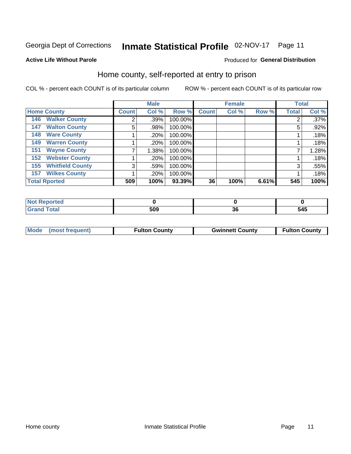# Inmate Statistical Profile 02-NOV-17 Page 11

#### **Active Life Without Parole**

### Produced for General Distribution

## Home county, self-reported at entry to prison

COL % - percent each COUNT is of its particular column

|                                |              | <b>Male</b> |         |              | <b>Female</b> |       | <b>Total</b> |       |
|--------------------------------|--------------|-------------|---------|--------------|---------------|-------|--------------|-------|
| <b>Home County</b>             | <b>Count</b> | Col %       | Row %   | <b>Count</b> | Col %         | Row % | <b>Total</b> | Col % |
| <b>Walker County</b><br>146    | 2            | .39%        | 100.00% |              |               |       |              | .37%  |
| <b>Walton County</b><br>147    | 5            | .98%        | 100.00% |              |               |       | 5            | .92%  |
| <b>Ware County</b><br>148      |              | .20%        | 100.00% |              |               |       |              | .18%  |
| <b>Warren County</b><br>149    |              | .20%        | 100.00% |              |               |       |              | .18%  |
| <b>Wayne County</b><br>151     |              | 1.38%       | 100.00% |              |               |       |              | 1.28% |
| <b>Webster County</b><br>152   |              | .20%        | 100.00% |              |               |       |              | .18%  |
| <b>Whitfield County</b><br>155 | 3            | .59%        | 100.00% |              |               |       | 3            | .55%  |
| <b>Wilkes County</b><br>157    |              | .20%        | 100.00% |              |               |       |              | .18%  |
| <b>Total Rported</b>           | 509          | 100%        | 93.39%  | 36           | 100%          | 6.61% | 545          | 100%  |

| A (÷I O    |     |    |                   |
|------------|-----|----|-------------------|
| Total<br>- | 509 | Jυ | <b>GAF</b><br>J4J |

| <b>Mode</b> | (most frequent) | <b>Fulton County</b> | <b>Gwinnett County</b> | <b>Fulton County</b> |
|-------------|-----------------|----------------------|------------------------|----------------------|
|             |                 |                      |                        |                      |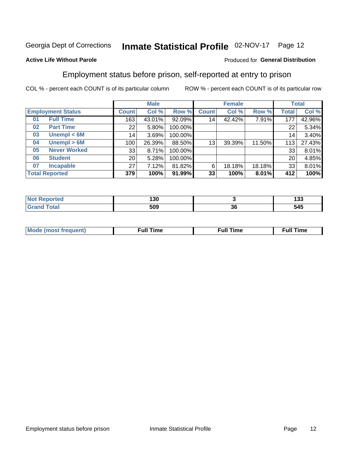#### Inmate Statistical Profile 02-NOV-17 Page 12

### **Active Life Without Parole**

#### Produced for General Distribution

## Employment status before prison, self-reported at entry to prison

COL % - percent each COUNT is of its particular column

|                                      |                     |                 | <b>Male</b> |         |                 | <b>Female</b> |        |       | <b>Total</b> |
|--------------------------------------|---------------------|-----------------|-------------|---------|-----------------|---------------|--------|-------|--------------|
| <b>Employment Status</b>             |                     | <b>Count</b>    | Col %       | Row %   | <b>Count</b>    | Col %         | Row %  | Total | Col %        |
| 01                                   | <b>Full Time</b>    | 163             | 43.01%      | 92.09%  | 14 <sub>1</sub> | 42.42%        | 7.91%  | 177   | 42.96%       |
| 02                                   | <b>Part Time</b>    | 22              | 5.80%       | 100.00% |                 |               |        | 22    | 5.34%        |
| 03                                   | Unempl $<$ 6M       | 14              | 3.69%       | 100.00% |                 |               |        | 14    | 3.40%        |
| 04                                   | Unempl > 6M         | 100             | 26.39%      | 88.50%  | 13              | 39.39%        | 11.50% | 113   | 27.43%       |
| 05                                   | <b>Never Worked</b> | 33              | 8.71%       | 100.00% |                 |               |        | 33    | 8.01%        |
| 06                                   | <b>Student</b>      | 20 <sub>1</sub> | 5.28%       | 100.00% |                 |               |        | 20    | 4.85%        |
| 07                                   | <b>Incapable</b>    | 27              | 7.12%       | 81.82%  | 6               | 18.18%        | 18.18% | 33    | 8.01%        |
| <b>Total Reported</b><br>379<br>100% |                     | 91.99%          | 33          | 100%    | 8.01%           | 412           | 100%   |       |              |

| ™e. | 130<br>$ -$ |    | ィっへ<br>၊ ၁၁ |
|-----|-------------|----|-------------|
|     | 509         | 36 | 545         |

| Mc | ∴ull | ----<br>ıme<br>w |
|----|------|------------------|
|    |      |                  |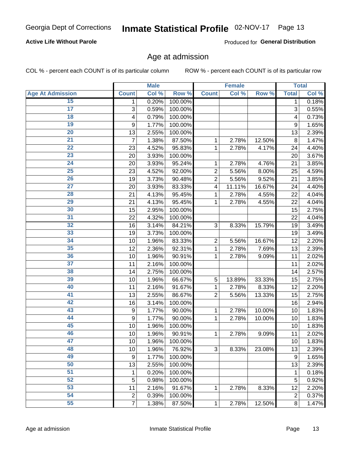### **Active Life Without Parole**

Produced for General Distribution

## Age at admission

COL % - percent each COUNT is of its particular column

|                         |                | <b>Male</b> |         |                | <b>Female</b> |        |                  | <b>Total</b> |
|-------------------------|----------------|-------------|---------|----------------|---------------|--------|------------------|--------------|
| <b>Age At Admission</b> | <b>Count</b>   | Col %       | Row %   | <b>Count</b>   | Col %         | Row %  | <b>Total</b>     | Col %        |
| 15                      | 1              | 0.20%       | 100.00% |                |               |        | 1                | 0.18%        |
| $\overline{17}$         | 3              | 0.59%       | 100.00% |                |               |        | 3                | 0.55%        |
| 18                      | 4              | 0.79%       | 100.00% |                |               |        | 4                | 0.73%        |
| 19                      | 9              | 1.77%       | 100.00% |                |               |        | 9                | 1.65%        |
| 20                      | 13             | 2.55%       | 100.00% |                |               |        | 13               | 2.39%        |
| $\overline{21}$         | $\overline{7}$ | 1.38%       | 87.50%  | 1              | 2.78%         | 12.50% | 8                | 1.47%        |
| 22                      | 23             | 4.52%       | 95.83%  | 1              | 2.78%         | 4.17%  | 24               | 4.40%        |
| 23                      | 20             | 3.93%       | 100.00% |                |               |        | 20               | 3.67%        |
| $\overline{24}$         | 20             | 3.93%       | 95.24%  | 1              | 2.78%         | 4.76%  | 21               | 3.85%        |
| $\overline{25}$         | 23             | 4.52%       | 92.00%  | $\overline{2}$ | 5.56%         | 8.00%  | 25               | 4.59%        |
| 26                      | 19             | 3.73%       | 90.48%  | $\overline{2}$ | 5.56%         | 9.52%  | 21               | 3.85%        |
| 27                      | 20             | 3.93%       | 83.33%  | 4              | 11.11%        | 16.67% | 24               | 4.40%        |
| 28                      | 21             | 4.13%       | 95.45%  | 1              | 2.78%         | 4.55%  | 22               | 4.04%        |
| 29                      | 21             | 4.13%       | 95.45%  | 1              | 2.78%         | 4.55%  | 22               | 4.04%        |
| 30                      | 15             | 2.95%       | 100.00% |                |               |        | 15               | 2.75%        |
| 31                      | 22             | 4.32%       | 100.00% |                |               |        | 22               | 4.04%        |
| 32                      | 16             | 3.14%       | 84.21%  | 3              | 8.33%         | 15.79% | 19               | 3.49%        |
| 33                      | 19             | 3.73%       | 100.00% |                |               |        | 19               | 3.49%        |
| 34                      | 10             | 1.96%       | 83.33%  | $\overline{c}$ | 5.56%         | 16.67% | 12               | 2.20%        |
| 35                      | 12             | 2.36%       | 92.31%  | 1              | 2.78%         | 7.69%  | 13               | 2.39%        |
| 36                      | 10             | 1.96%       | 90.91%  | 1              | 2.78%         | 9.09%  | 11               | 2.02%        |
| 37                      | 11             | 2.16%       | 100.00% |                |               |        | 11               | 2.02%        |
| 38                      | 14             | 2.75%       | 100.00% |                |               |        | 14               | 2.57%        |
| 39                      | 10             | 1.96%       | 66.67%  | 5              | 13.89%        | 33.33% | 15               | 2.75%        |
| 40                      | 11             | 2.16%       | 91.67%  | 1              | 2.78%         | 8.33%  | 12               | 2.20%        |
| 41                      | 13             | 2.55%       | 86.67%  | $\overline{2}$ | 5.56%         | 13.33% | 15               | 2.75%        |
| 42                      | 16             | 3.14%       | 100.00% |                |               |        | 16               | 2.94%        |
| 43                      | 9              | 1.77%       | 90.00%  | 1              | 2.78%         | 10.00% | 10               | 1.83%        |
| 44                      | 9              | 1.77%       | 90.00%  | 1              | 2.78%         | 10.00% | 10               | 1.83%        |
| 45                      | 10             | 1.96%       | 100.00% |                |               |        | 10               | 1.83%        |
| 46                      | 10             | 1.96%       | 90.91%  | 1              | 2.78%         | 9.09%  | 11               | 2.02%        |
| 47                      | 10             | 1.96%       | 100.00% |                |               |        | 10               | 1.83%        |
| 48                      | 10             | 1.96%       | 76.92%  | 3              | 8.33%         | 23.08% | 13               | 2.39%        |
| 49                      | 9              | 1.77%       | 100.00% |                |               |        | $\boldsymbol{9}$ | 1.65%        |
| 50                      | 13             | 2.55%       | 100.00% |                |               |        | 13               | 2.39%        |
| 51                      | 1              | 0.20%       | 100.00% |                |               |        | 1                | 0.18%        |
| 52                      | 5              | 0.98%       | 100.00% |                |               |        | 5                | 0.92%        |
| 53                      | 11             | 2.16%       | 91.67%  | 1              | 2.78%         | 8.33%  | 12               | 2.20%        |
| 54                      | $\overline{c}$ | 0.39%       | 100.00% |                |               |        | $\mathbf 2$      | 0.37%        |
| 55                      | $\overline{7}$ | 1.38%       | 87.50%  | 1              | 2.78%         | 12.50% | 8                | 1.47%        |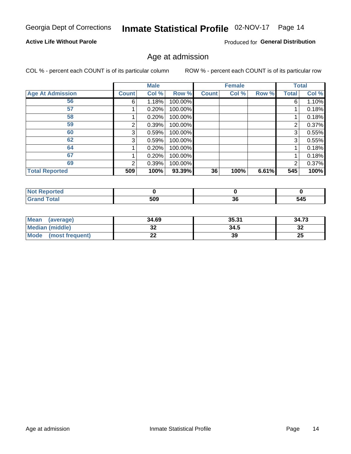## Inmate Statistical Profile 02-NOV-17 Page 14

### **Active Life Without Parole**

Produced for General Distribution

## Age at admission

COL % - percent each COUNT is of its particular column

|                         |              | <b>Male</b> |         |              | <b>Female</b> |       |              | <b>Total</b> |
|-------------------------|--------------|-------------|---------|--------------|---------------|-------|--------------|--------------|
| <b>Age At Admission</b> | <b>Count</b> | Col %       | Row %   | <b>Count</b> | Col %         | Row % | <b>Total</b> | Col %        |
| 56                      | 6            | 1.18%       | 100.00% |              |               |       | 6            | 1.10%        |
| 57                      |              | 0.20%       | 100.00% |              |               |       |              | 0.18%        |
| 58                      |              | 0.20%       | 100.00% |              |               |       |              | 0.18%        |
| 59                      | 2            | 0.39%       | 100.00% |              |               |       | 2            | 0.37%        |
| 60                      | 3            | 0.59%       | 100.00% |              |               |       | 3            | 0.55%        |
| 62                      | 3            | 0.59%       | 100.00% |              |               |       | 3            | 0.55%        |
| 64                      |              | 0.20%       | 100.00% |              |               |       |              | 0.18%        |
| 67                      |              | 0.20%       | 100.00% |              |               |       |              | 0.18%        |
| 69                      | 2            | 0.39%       | 100.00% |              |               |       | 2            | 0.37%        |
| <b>Total Reported</b>   | 509          | 100%        | 93.39%  | 36           | 100%          | 6.61% | 545          | 100%         |

| <b>Not Reported</b> |     |          |     |
|---------------------|-----|----------|-----|
| <b>Total</b>        | 509 | ^^<br>კხ | 545 |

| Mean (average)       | 34.69 | 35.31 | 34.73   |
|----------------------|-------|-------|---------|
| Median (middle)      | JZ    | 34.5  | …<br>∡ت |
| Mode (most frequent) | "     | 39    | 25      |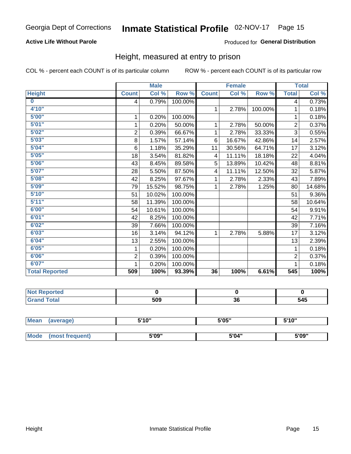### **Active Life Without Parole**

#### Produced for General Distribution

## Height, measured at entry to prison

COL % - percent each COUNT is of its particular column

|                         |                | <b>Male</b> |         |              | <b>Female</b> |         |                         | <b>Total</b> |
|-------------------------|----------------|-------------|---------|--------------|---------------|---------|-------------------------|--------------|
| <b>Height</b>           | <b>Count</b>   | Col %       | Row %   | <b>Count</b> | Col %         | Row %   | <b>Total</b>            | Col %        |
| $\overline{\mathbf{0}}$ | 4              | 0.79%       | 100.00% |              |               |         | $\overline{\mathbf{4}}$ | 0.73%        |
| 4'10''                  |                |             |         | $\mathbf{1}$ | 2.78%         | 100.00% | 1                       | 0.18%        |
| 5'00''                  | 1              | 0.20%       | 100.00% |              |               |         | 1                       | 0.18%        |
| 5'01"                   | 1              | 0.20%       | 50.00%  | 1            | 2.78%         | 50.00%  | $\overline{2}$          | 0.37%        |
| 5'02"                   | $\overline{2}$ | 0.39%       | 66.67%  | 1            | 2.78%         | 33.33%  | 3                       | 0.55%        |
| 5'03''                  | 8              | 1.57%       | 57.14%  | 6            | 16.67%        | 42.86%  | 14                      | 2.57%        |
| 5'04"                   | $\,6$          | 1.18%       | 35.29%  | 11           | 30.56%        | 64.71%  | 17                      | 3.12%        |
| 5'05"                   | 18             | 3.54%       | 81.82%  | 4            | 11.11%        | 18.18%  | 22                      | 4.04%        |
| 5'06''                  | 43             | 8.45%       | 89.58%  | 5            | 13.89%        | 10.42%  | 48                      | 8.81%        |
| 5'07''                  | 28             | 5.50%       | 87.50%  | 4            | 11.11%        | 12.50%  | 32                      | 5.87%        |
| 5'08''                  | 42             | 8.25%       | 97.67%  | 1            | 2.78%         | 2.33%   | 43                      | 7.89%        |
| 5'09"                   | 79             | 15.52%      | 98.75%  | 1            | 2.78%         | 1.25%   | 80                      | 14.68%       |
| 5'10''                  | 51             | 10.02%      | 100.00% |              |               |         | 51                      | 9.36%        |
| 5'11''                  | 58             | 11.39%      | 100.00% |              |               |         | 58                      | 10.64%       |
| 6'00''                  | 54             | 10.61%      | 100.00% |              |               |         | 54                      | 9.91%        |
| 6'01''                  | 42             | 8.25%       | 100.00% |              |               |         | 42                      | 7.71%        |
| 6'02"                   | 39             | 7.66%       | 100.00% |              |               |         | 39                      | 7.16%        |
| 6'03''                  | 16             | 3.14%       | 94.12%  | 1            | 2.78%         | 5.88%   | 17                      | 3.12%        |
| 6'04"                   | 13             | 2.55%       | 100.00% |              |               |         | 13                      | 2.39%        |
| 6'05"                   | 1              | 0.20%       | 100.00% |              |               |         | 1                       | 0.18%        |
| 6'06''                  | $\overline{2}$ | 0.39%       | 100.00% |              |               |         | $\overline{2}$          | 0.37%        |
| 6'07''                  |                | 0.20%       | 100.00% |              |               |         |                         | 0.18%        |
| <b>Total Reported</b>   | 509            | 100%        | 93.39%  | 36           | 100%          | 6.61%   | 545                     | 100%         |

| rtea<br>$\cdots$<br>$\sim$ |     |          |                    |
|----------------------------|-----|----------|--------------------|
| _____                      | 509 | ^'<br>კნ | - - -<br>34J<br>__ |

| Mean        | (average)       | 5'10" | 5'05" | 5'10"<br>J |
|-------------|-----------------|-------|-------|------------|
|             |                 |       |       |            |
| <b>Mode</b> | (most frequent) | 5'09" | 5'04" | 5'09"      |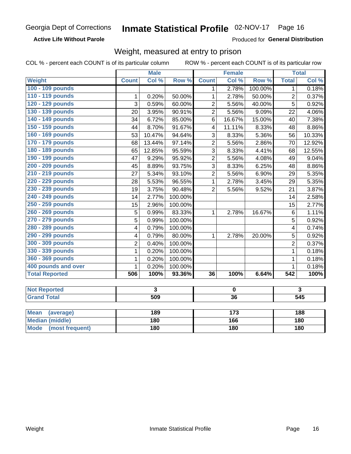#### **Active Life Without Parole**

Produced for General Distribution

## Weight, measured at entry to prison

COL % - percent each COUNT is of its particular column

|                                |                         | <b>Male</b> |         |                         | <b>Female</b>   |                  |                         | <b>Total</b>            |
|--------------------------------|-------------------------|-------------|---------|-------------------------|-----------------|------------------|-------------------------|-------------------------|
| Weight                         | <b>Count</b>            | Col %       | Row %   | <b>Count</b>            | Col %           | Row <sup>%</sup> | <b>Total</b>            | Col %                   |
| 100 - 109 pounds               |                         |             |         | 1                       | 2.78%           | 100.00%          | $\mathbf 1$             | 0.18%                   |
| 110 - 119 pounds               | 1                       | 0.20%       | 50.00%  | $\mathbf{1}$            | 2.78%           | 50.00%           | $\overline{2}$          | 0.37%                   |
| 120 - 129 pounds               | $\overline{3}$          | 0.59%       | 60.00%  | $\overline{2}$          | 5.56%           | 40.00%           | 5                       | 0.92%                   |
| 130 - 139 pounds               | 20                      | 3.95%       | 90.91%  | $\overline{2}$          | 5.56%           | 9.09%            | 22                      | 4.06%                   |
| 140 - 149 pounds               | 34                      | 6.72%       | 85.00%  | 6                       | 16.67%          | 15.00%           | 40                      | 7.38%                   |
| 150 - 159 pounds               | 44                      | 8.70%       | 91.67%  | $\overline{\mathbf{4}}$ | 11.11%          | 8.33%            | 48                      | 8.86%                   |
| 160 - 169 pounds               | 53                      | 10.47%      | 94.64%  | $\overline{3}$          | 8.33%           | 5.36%            | 56                      | 10.33%                  |
| 170 - 179 pounds               | 68                      | 13.44%      | 97.14%  | $\overline{2}$          | 5.56%           | 2.86%            | 70                      | 12.92%                  |
| 180 - 189 pounds               | 65                      | 12.85%      | 95.59%  | $\overline{3}$          | 8.33%           | 4.41%            | 68                      | 12.55%                  |
| 190 - 199 pounds               | 47                      | 9.29%       | 95.92%  | $\overline{2}$          | 5.56%           | 4.08%            | 49                      | 9.04%                   |
| 200 - 209 pounds               | 45                      | 8.89%       | 93.75%  | $\overline{3}$          | 8.33%           | 6.25%            | 48                      | 8.86%                   |
| 210 - 219 pounds               | 27                      | 5.34%       | 93.10%  | $\overline{2}$          | 5.56%           | 6.90%            | 29                      | 5.35%                   |
| 220 - 229 pounds               | 28                      | 5.53%       | 96.55%  | $\mathbf{1}$            | 2.78%           | 3.45%            | 29                      | 5.35%                   |
| 230 - 239 pounds               | 19                      | 3.75%       | 90.48%  | $\overline{2}$          | 5.56%           | 9.52%            | 21                      | 3.87%                   |
| 240 - 249 pounds               | 14                      | 2.77%       | 100.00% |                         |                 |                  | 14                      | 2.58%                   |
| 250 - 259 pounds               | 15                      | 2.96%       | 100.00% |                         |                 |                  | 15                      | 2.77%                   |
| 260 - 269 pounds               | 5                       | 0.99%       | 83.33%  | $\mathbf{1}$            | 2.78%           | 16.67%           | $\,6$                   | 1.11%                   |
| 270 - 279 pounds               | $\overline{5}$          | 0.99%       | 100.00% |                         |                 |                  | $\overline{5}$          | 0.92%                   |
| 280 - 289 pounds               | $\overline{\mathbf{4}}$ | 0.79%       | 100.00% |                         |                 |                  | $\overline{\mathbf{4}}$ | 0.74%                   |
| 290 - 299 pounds               | 4                       | 0.79%       | 80.00%  | $\mathbf{1}$            | 2.78%           | 20.00%           | 5                       | 0.92%                   |
| 300 - 309 pounds               | $\overline{2}$          | 0.40%       | 100.00% |                         |                 |                  | $\overline{2}$          | 0.37%                   |
| 330 - 339 pounds               | 1                       | 0.20%       | 100.00% |                         |                 |                  | $\mathbf{1}$            | 0.18%                   |
| 360 - 369 pounds               | $\mathbf 1$             | 0.20%       | 100.00% |                         |                 |                  | 1                       | 0.18%                   |
| 400 pounds and over            | $\mathbf{1}$            | 0.20%       | 100.00% |                         |                 |                  | $\mathbf{1}$            | 0.18%                   |
| <b>Total Reported</b>          | 506                     | 100%        | 93.36%  | $\overline{36}$         | 100%            | 6.64%            | 542                     | 100%                    |
|                                |                         |             |         |                         |                 |                  |                         |                         |
| <b>Not Reported</b>            |                         | 3           |         |                         | $\mathbf 0$     |                  |                         | $\overline{\mathbf{3}}$ |
| <b>Grand Total</b>             |                         | 509         |         |                         | $\overline{36}$ |                  |                         | 545                     |
|                                |                         |             |         |                         |                 |                  |                         |                         |
| <b>Mean</b><br>(average)       |                         | 189         |         |                         | 173             |                  |                         | 188                     |
| <b>Median (middle)</b>         |                         | 180         |         |                         | 166             |                  |                         | 180                     |
| <b>Mode</b><br>(most frequent) |                         | 180         |         |                         | 180             |                  |                         | <b>180</b>              |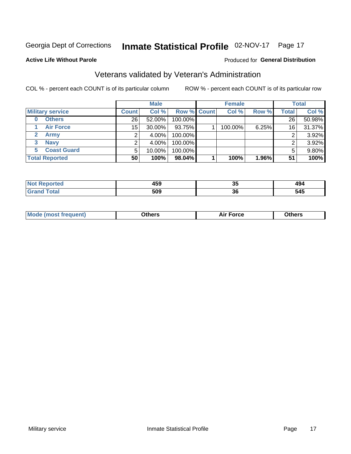## Inmate Statistical Profile 02-NOV-17 Page 17

#### **Active Life Without Parole**

#### Produced for General Distribution

## Veterans validated by Veteran's Administration

COL % - percent each COUNT is of its particular column

|                             |              | <b>Male</b> |                    | <b>Female</b> |       |              | <b>Total</b> |
|-----------------------------|--------------|-------------|--------------------|---------------|-------|--------------|--------------|
| <b>Military service</b>     | <b>Count</b> | Col %       | <b>Row % Count</b> | Col %         | Row % | <b>Total</b> | Col %        |
| <b>Others</b>               | 26           | $52.00\%$   | 100.00%            |               |       | 26           | 50.98%       |
| <b>Air Force</b>            | 15           | 30.00%      | 93.75%             | 100.00%       | 6.25% | 16           | 31.37%       |
| $\mathbf{2}$<br><b>Army</b> |              | 4.00%       | 100.00%            |               |       |              | 3.92%        |
| <b>Navy</b><br>3            |              | 4.00%       | 100.00%            |               |       | ົ            | 3.92%        |
| <b>Coast Guard</b><br>5.    | 5            | 10.00%      | 100.00%            |               |       | 5            | 9.80%        |
| <b>Total Reported</b>       | 50           | 100%        | 98.04%             | 100%          | 1.96% | 51           | 100%         |

| $\overline{\phantom{a}}$<br>10F | Ju  | $\overline{\phantom{a}}$<br>474<br>____ |
|---------------------------------|-----|-----------------------------------------|
| 509                             | . . | 545                                     |
| - - -                           | ად  | __                                      |

| ____<br>____ |
|--------------|
|--------------|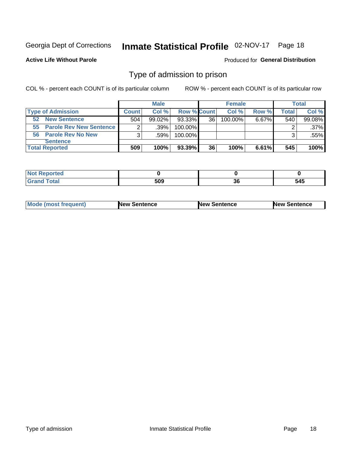## Inmate Statistical Profile 02-NOV-17 Page 18

**Active Life Without Parole** 

Produced for General Distribution

## Type of admission to prison

COL % - percent each COUNT is of its particular column

|                            |              | <b>Male</b> |                    |    | <b>Female</b> |          |       | Total   |
|----------------------------|--------------|-------------|--------------------|----|---------------|----------|-------|---------|
| <b>Type of Admission</b>   | <b>Count</b> | Col %       | <b>Row % Count</b> |    | Col %         | Row %    | Total | Col %   |
| <b>New Sentence</b><br>52  | 504          | $99.02\%$   | 93.33%             | 36 | $100.00\%$    | $6.67\%$ | 540   | 99.08%  |
| 55 Parole Rev New Sentence | 2            | $.39\%$     | 100.00%            |    |               |          |       | $.37\%$ |
| 56 Parole Rev No New       | 3            | .59%        | 100.00%            |    |               |          |       | .55%    |
| <b>Sentence</b>            |              |             |                    |    |               |          |       |         |
| <b>Total Reported</b>      | 509          | 100%        | 93.39%             | 36 | 100%          | 6.61%    | 545   | 100%    |

| $-1 - 1$<br>N<br>prted<br>$   -$ |             |                    |                    |
|----------------------------------|-------------|--------------------|--------------------|
| $int^{\bullet}$<br>_____         | cnn.<br>JVJ | $\sim$<br>v<br>- - | - - -<br>545<br>__ |

| Mode (most frequent) | <b>New Sentence</b> | <b>New Sentence</b> | <b>New Sentence</b> |
|----------------------|---------------------|---------------------|---------------------|
|                      |                     |                     |                     |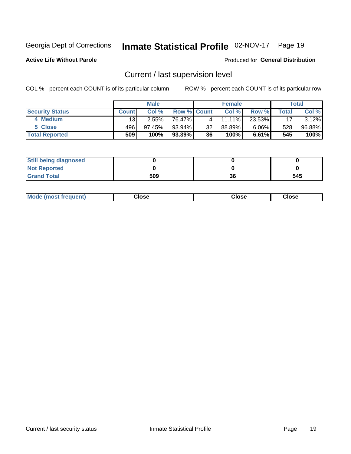## Inmate Statistical Profile 02-NOV-17 Page 19

**Active Life Without Parole** 

#### Produced for General Distribution

## Current / last supervision level

COL % - percent each COUNT is of its particular column

|                        | <b>Male</b>     |        |                    | <b>Female</b> |        |          | <b>Total</b> |          |
|------------------------|-----------------|--------|--------------------|---------------|--------|----------|--------------|----------|
| <b>Security Status</b> | <b>Count</b>    | Col %  | <b>Row % Count</b> |               | Col %  | Row %    | Total        | Col %    |
| 4 Medium               | 13 <sub>1</sub> | 2.55%  | 76.47%             |               | 11.11% | 23.53%   | 17           | $3.12\%$ |
| 5 Close                | 496             | 97.45% | $93.94\%$          | 32            | 88.89% | $6.06\%$ | 528          | 96.88%   |
| <b>Total Reported</b>  | 509             | 100%   | 93.39%             | 36            | 100%   | $6.61\%$ | 545          | 100%     |

| <b>Still being diagnosed</b> |     |    |     |
|------------------------------|-----|----|-----|
| <b>Not Reported</b>          |     |    |     |
| <b>Grand Total</b>           | 509 | 36 | 545 |

| <b>Mode</b><br><b>frequent)</b><br><b>IMASTI</b> | Close<br>- - - - | Close<br>- - - - | Close |
|--------------------------------------------------|------------------|------------------|-------|
|                                                  |                  |                  |       |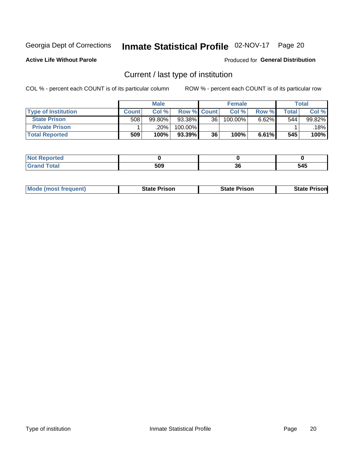## Inmate Statistical Profile 02-NOV-17 Page 20

**Active Life Without Parole** 

#### Produced for General Distribution

## Current / last type of institution

COL % - percent each COUNT is of its particular column

|                            |              | <b>Male</b> |                    |                 | <b>Female</b> |       |       | <b>Total</b> |
|----------------------------|--------------|-------------|--------------------|-----------------|---------------|-------|-------|--------------|
| <b>Type of Institution</b> | <b>Count</b> | Col %       | <b>Row % Count</b> |                 | Col %         | Row % | Total | Col %        |
| <b>State Prison</b>        | 508          | 99.80%      | 93.38%             | 36 <sup>1</sup> | 100.00%       | 6.62% | 544   | 99.82%       |
| <b>Private Prison</b>      |              | .20%        | 100.00%            |                 |               |       |       | $.18\%$      |
| <b>Total Reported</b>      | 509          | 100%        | $93.39\%$          | 36              | 100%          | 6.61% | 545   | 100%         |

| rtea |     |          |                    |
|------|-----|----------|--------------------|
|      | 509 | ^^<br>ად | $\sim$ $\sim$<br>≖ |

| <b>Mode (most frequent)</b> | State Prison | <b>State Prison</b> | State<br>⊦Prisonl |
|-----------------------------|--------------|---------------------|-------------------|
|                             |              |                     |                   |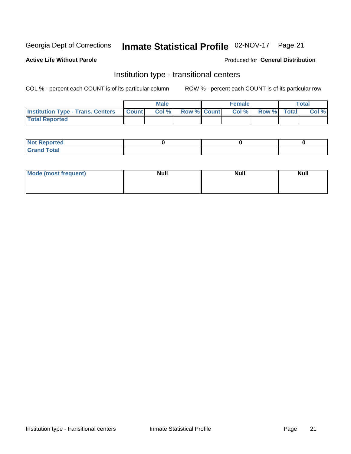## Inmate Statistical Profile 02-NOV-17 Page 21

### **Active Life Without Parole**

#### Produced for General Distribution

## Institution type - transitional centers

COL % - percent each COUNT is of its particular column

|                                                | Male  |                    | <b>Female</b> |                   | Total |
|------------------------------------------------|-------|--------------------|---------------|-------------------|-------|
| <b>Institution Type - Trans. Centers Count</b> | Col % | <b>Row % Count</b> |               | Col % Row % Total | Col % |
| <b>Total Reported</b>                          |       |                    |               |                   |       |

| <b>Reported</b><br><b>NOT</b><br>$\sim$            |  |  |
|----------------------------------------------------|--|--|
| $f$ $f \circ f \circ f$<br>$C = 1$<br><b>TULAI</b> |  |  |

| Mode (most frequent) | <b>Null</b> | <b>Null</b> | <b>Null</b> |
|----------------------|-------------|-------------|-------------|
|                      |             |             |             |
|                      |             |             |             |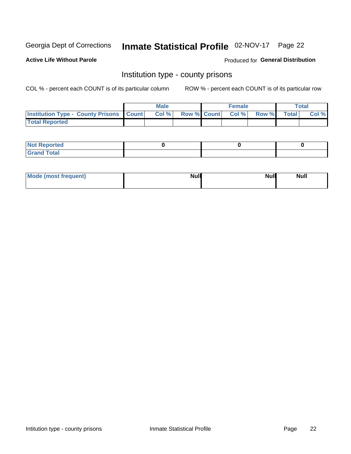## Inmate Statistical Profile 02-NOV-17 Page 22

**Active Life Without Parole** 

Produced for General Distribution

## Institution type - county prisons

COL % - percent each COUNT is of its particular column

|                                                    | <b>Male</b> |  | <b>Female</b>            |             | <b>Total</b> |
|----------------------------------------------------|-------------|--|--------------------------|-------------|--------------|
| <b>Institution Type - County Prisons   Count  </b> | Col %       |  | <b>Row % Count Col %</b> | Row % Total | Col %        |
| <b>Total Reported</b>                              |             |  |                          |             |              |

| <b>Not Reported</b>   |  |  |
|-----------------------|--|--|
| <b>Total</b><br>Granc |  |  |

| Mode (most frequent) | <b>Null</b> | <b>Null</b><br><b>Null</b> |
|----------------------|-------------|----------------------------|
|                      |             |                            |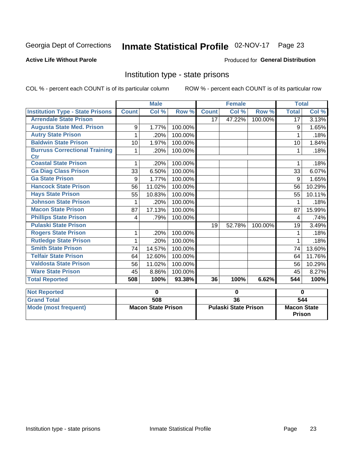# Inmate Statistical Profile 02-NOV-17 Page 23

#### **Active Life Without Parole**

### Produced for General Distribution

## Institution type - state prisons

|                                             |              | <b>Male</b>               |         |                 | <b>Female</b>               |          | <b>Total</b>                        |        |
|---------------------------------------------|--------------|---------------------------|---------|-----------------|-----------------------------|----------|-------------------------------------|--------|
| <b>Institution Type - State Prisons</b>     | <b>Count</b> | Col %                     | Row %   | <b>Count</b>    | Col %                       | Row %    | <b>Total</b>                        | Col %  |
| <b>Arrendale State Prison</b>               |              |                           |         | 17              | 47.22%                      | 100.00%  | 17                                  | 3.13%  |
| <b>Augusta State Med. Prison</b>            | 9            | 1.77%                     | 100.00% |                 |                             |          | 9                                   | 1.65%  |
| <b>Autry State Prison</b>                   | 1            | .20%                      | 100.00% |                 |                             |          | 1                                   | .18%   |
| <b>Baldwin State Prison</b>                 | 10           | 1.97%                     | 100.00% |                 |                             |          | 10                                  | 1.84%  |
| <b>Burruss Correctional Training</b><br>Ctr | 1            | .20%                      | 100.00% |                 |                             |          | 1                                   | .18%   |
| <b>Coastal State Prison</b>                 |              | .20%                      | 100.00% |                 |                             |          |                                     | .18%   |
| <b>Ga Diag Class Prison</b>                 | 33           | 6.50%                     | 100.00% |                 |                             |          | 33                                  | 6.07%  |
| <b>Ga State Prison</b>                      | 9            | 1.77%                     | 100.00% |                 |                             |          | 9                                   | 1.65%  |
| <b>Hancock State Prison</b>                 | 56           | 11.02%                    | 100.00% |                 |                             |          | 56                                  | 10.29% |
| <b>Hays State Prison</b>                    | 55           | 10.83%                    | 100.00% |                 |                             |          | 55                                  | 10.11% |
| <b>Johnson State Prison</b>                 | 1            | .20%                      | 100.00% |                 |                             |          | 1                                   | .18%   |
| <b>Macon State Prison</b>                   | 87           | 17.13%                    | 100.00% |                 |                             |          | 87                                  | 15.99% |
| <b>Phillips State Prison</b>                | 4            | .79%                      | 100.00% |                 |                             |          | 4                                   | .74%   |
| <b>Pulaski State Prison</b>                 |              |                           |         | 19              | 52.78%                      | 100.00%  | 19                                  | 3.49%  |
| <b>Rogers State Prison</b>                  | 1            | .20%                      | 100.00% |                 |                             |          |                                     | .18%   |
| <b>Rutledge State Prison</b>                | 1            | .20%                      | 100.00% |                 |                             |          | 1                                   | .18%   |
| <b>Smith State Prison</b>                   | 74           | 14.57%                    | 100.00% |                 |                             |          | 74                                  | 13.60% |
| <b>Telfair State Prison</b>                 | 64           | 12.60%                    | 100.00% |                 |                             |          | 64                                  | 11.76% |
| <b>Valdosta State Prison</b>                | 56           | 11.02%                    | 100.00% |                 |                             |          | 56                                  | 10.29% |
| <b>Ware State Prison</b>                    | 45           | 8.86%                     | 100.00% |                 |                             |          | 45                                  | 8.27%  |
| <b>Total Reported</b>                       | 508          | 100%                      | 93.38%  | 36              | 100%                        | 6.62%    | 544                                 | 100%   |
| <b>Not Reported</b>                         |              | 0                         |         | 0               |                             | $\bf{0}$ |                                     |        |
| <b>Grand Total</b>                          |              | 508                       |         | $\overline{36}$ |                             |          |                                     | 544    |
| <b>Mode (most frequent)</b>                 |              | <b>Macon State Prison</b> |         |                 | <b>Pulaski State Prison</b> |          | <b>Macon State</b><br><b>Prison</b> |        |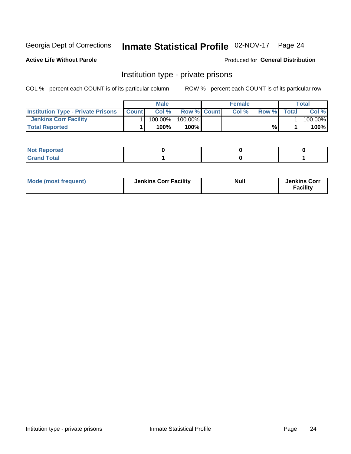## Inmate Statistical Profile 02-NOV-17 Page 24

**Active Life Without Parole** 

#### Produced for General Distribution

## Institution type - private prisons

COL % - percent each COUNT is of its particular column

|                                           |              | <b>Male</b> |                    | <b>Female</b> |       |              | Total   |
|-------------------------------------------|--------------|-------------|--------------------|---------------|-------|--------------|---------|
| <b>Institution Type - Private Prisons</b> | <b>Count</b> | Col%        | <b>Row % Count</b> | Col %         | Row % | <b>Total</b> | Col %   |
| <b>Jenkins Corr Facility</b>              |              | 100.00%     | 100.00%            |               |       |              | 100.00% |
| <b>Total Reported</b>                     |              | $100\%$     | $100\%$            |               | %\    |              | 100%    |

| <b>Not Reported</b> |  |  |
|---------------------|--|--|
| _____               |  |  |

| Mode (most frequent) | <b>Jenkins Corr Facility</b> | <b>Null</b> | <b>Jenkins Corr</b><br><b>Facility</b> |
|----------------------|------------------------------|-------------|----------------------------------------|
|----------------------|------------------------------|-------------|----------------------------------------|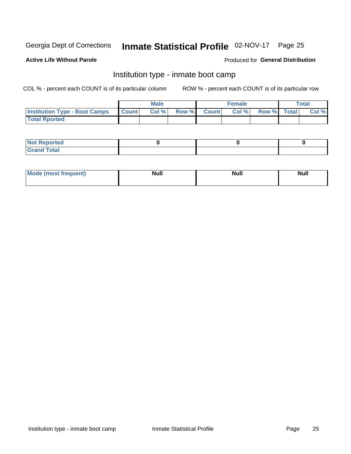# Inmate Statistical Profile 02-NOV-17 Page 25

#### **Active Life Without Parole**

#### Produced for General Distribution

## Institution type - inmate boot camp

COL % - percent each COUNT is of its particular column

|                                      |              | <b>Male</b> |               |              | <b>Female</b> |             | <b>Total</b> |
|--------------------------------------|--------------|-------------|---------------|--------------|---------------|-------------|--------------|
| <b>Institution Type - Boot Camps</b> | <b>Count</b> | Col %       | <b>Row %I</b> | <b>Count</b> | Col %         | Row % Total | Col %        |
| <b>Total Rported</b>                 |              |             |               |              |               |             |              |

| <b>Not Reported</b>            |  |  |
|--------------------------------|--|--|
| <b>Total</b><br>C <sub>r</sub> |  |  |

| Mod<br>uamo | Nul.<br>$- - - - - -$ | <b>Null</b> | . .<br>uu.<br>------ |
|-------------|-----------------------|-------------|----------------------|
|             |                       |             |                      |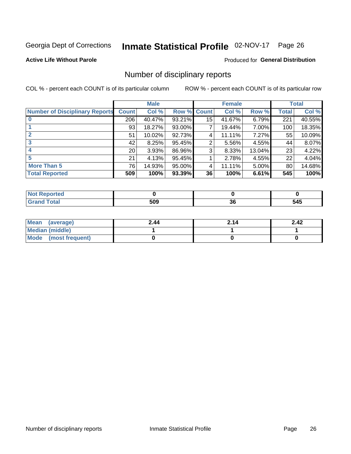## Inmate Statistical Profile 02-NOV-17 Page 26

**Active Life Without Parole** 

#### Produced for General Distribution

## Number of disciplinary reports

COL % - percent each COUNT is of its particular column

|                                       |                 | <b>Male</b> |        |              | <b>Female</b> |          |              | <b>Total</b> |
|---------------------------------------|-----------------|-------------|--------|--------------|---------------|----------|--------------|--------------|
| <b>Number of Disciplinary Reports</b> | <b>Count</b>    | Col %       | Row %  | <b>Count</b> | Col %         | Row %    | <b>Total</b> | Col %        |
|                                       | 206             | 40.47%      | 93.21% | 15           | 41.67%        | 6.79%    | 221          | 40.55%       |
|                                       | 93              | 18.27%      | 93.00% | 7            | 19.44%        | 7.00%    | 100          | 18.35%       |
| $\mathbf{2}$                          | 51              | 10.02%      | 92.73% | 4            | 11.11%        | 7.27%    | 55           | 10.09%       |
| 3                                     | 42              | 8.25%       | 95.45% | 2            | 5.56%         | 4.55%    | 44           | 8.07%        |
|                                       | 20 <sub>1</sub> | 3.93%       | 86.96% | 3            | 8.33%         | 13.04%   | 23           | 4.22%        |
| 5                                     | 21              | 4.13%       | 95.45% |              | 2.78%         | 4.55%    | 22           | 4.04%        |
| <b>More Than 5</b>                    | 76              | 14.93%      | 95.00% | 4            | 11.11%        | $5.00\%$ | 80           | 14.68%       |
| <b>Total Reported</b>                 | 509             | 100%        | 93.39% | 36           | 100%          | 6.61%    | 545          | 100%         |

| prtea<br>NO |     |          |     |
|-------------|-----|----------|-----|
| <b>otal</b> | 509 | ^^<br>ად | 545 |

| Mean (average)       | 2.44 | 2.14 | 2.42 |
|----------------------|------|------|------|
| Median (middle)      |      |      |      |
| Mode (most frequent) |      |      |      |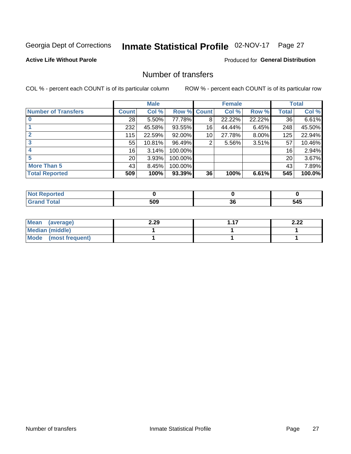## Inmate Statistical Profile 02-NOV-17 Page 27

### **Active Life Without Parole**

### **Produced for General Distribution**

## Number of transfers

COL % - percent each COUNT is of its particular column

|                            |                 | <b>Male</b> |         |              | <b>Female</b> |          |                 | <b>Total</b> |
|----------------------------|-----------------|-------------|---------|--------------|---------------|----------|-----------------|--------------|
| <b>Number of Transfers</b> | Count l         | Col %       | Row %   | <b>Count</b> | Col %         | Row %    | <b>Total</b>    | Col %        |
|                            | 28              | $5.50\%$    | 77.78%  | 8            | 22.22%        | 22.22%   | 36              | 6.61%        |
|                            | 232             | 45.58%      | 93.55%  | 16           | 44.44%        | 6.45%    | 248             | 45.50%       |
|                            | 115             | 22.59%      | 92.00%  | 10           | 27.78%        | 8.00%    | 125             | 22.94%       |
| 3                          | 55              | 10.81%      | 96.49%  | 2            | 5.56%         | $3.51\%$ | 57              | 10.46%       |
|                            | 16              | 3.14%       | 100.00% |              |               |          | 16 <sub>1</sub> | 2.94%        |
| 5                          | 20 <sub>1</sub> | 3.93%       | 100.00% |              |               |          | 20              | 3.67%        |
| <b>More Than 5</b>         | 43              | 8.45%       | 100.00% |              |               |          | 43              | 7.89%        |
| <b>Total Reported</b>      | 509             | 100%        | 93.39%  | 36           | 100%          | 6.61%    | 545             | 100.0%       |

| prtea<br>NO |     |          |     |
|-------------|-----|----------|-----|
| <b>otal</b> | 509 | ^^<br>ად | 545 |

| Mean (average)       | 2.29 | - 17 | ר ר<br>L.LL |
|----------------------|------|------|-------------|
| Median (middle)      |      |      |             |
| Mode (most frequent) |      |      |             |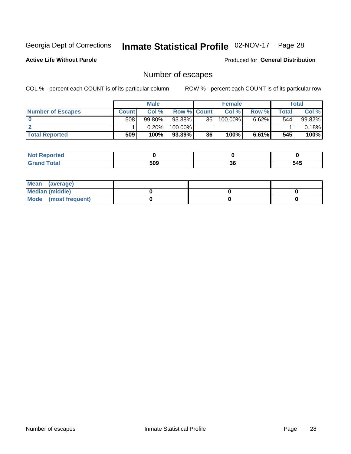## Inmate Statistical Profile 02-NOV-17 Page 28

**Active Life Without Parole** 

**Produced for General Distribution** 

## Number of escapes

COL % - percent each COUNT is of its particular column

|                          |              | <b>Male</b> |                    |                 | <b>Female</b> |          |         | <b>Total</b> |
|--------------------------|--------------|-------------|--------------------|-----------------|---------------|----------|---------|--------------|
| <b>Number of Escapes</b> | <b>Count</b> | Col %       | <b>Row % Count</b> |                 | Col %         | Row %    | Total I | Col %        |
|                          | 508          | $99.80\%$   | 93.38%             | 36 <sup>1</sup> | 100.00%       | $6.62\%$ | 544     | 99.82%       |
|                          |              | $0.20\%$    | 100.00%            |                 |               |          |         | 0.18%        |
| <b>Total Reported</b>    | 509          | 100%        | 93.39%             | 36              | 100%          | $6.61\%$ | 545     | 100%         |

| Reported<br><b>NOT</b><br>$\sim$ |     |    |     |
|----------------------------------|-----|----|-----|
| <b>cotal</b><br>$\mathsf{v}$ and | 509 | 36 | 545 |

| Mean (average)       |  |  |
|----------------------|--|--|
| Median (middle)      |  |  |
| Mode (most frequent) |  |  |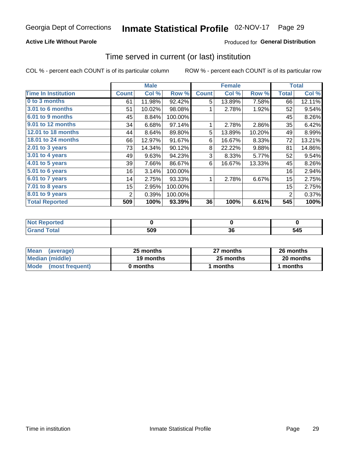### **Active Life Without Parole**

## **Produced for General Distribution**

## Time served in current (or last) institution

COL % - percent each COUNT is of its particular column

|                            |              | <b>Male</b> |         |              | <b>Female</b> |        |                  | <b>Total</b> |
|----------------------------|--------------|-------------|---------|--------------|---------------|--------|------------------|--------------|
| <b>Time In Institution</b> | <b>Count</b> | Col%        | Row %   | <b>Count</b> | Col %         | Row %  | <b>Total</b>     | Col %        |
| 0 to 3 months              | 61           | 11.98%      | 92.42%  | 5            | 13.89%        | 7.58%  | 66               | 12.11%       |
| 3.01 to 6 months           | 51           | 10.02%      | 98.08%  |              | 2.78%         | 1.92%  | 52               | 9.54%        |
| 6.01 to 9 months           | 45           | 8.84%       | 100.00% |              |               |        | 45               | 8.26%        |
| 9.01 to 12 months          | 34           | 6.68%       | 97.14%  | 1            | 2.78%         | 2.86%  | 35               | 6.42%        |
| <b>12.01 to 18 months</b>  | 44           | 8.64%       | 89.80%  | 5            | 13.89%        | 10.20% | 49               | 8.99%        |
| <b>18.01 to 24 months</b>  | 66           | 12.97%      | 91.67%  | 6            | 16.67%        | 8.33%  | 72               | 13.21%       |
| 2.01 to 3 years            | 73           | 14.34%      | 90.12%  | 8            | 22.22%        | 9.88%  | 81               | 14.86%       |
| 3.01 to 4 years            | 49           | 9.63%       | 94.23%  | 3            | 8.33%         | 5.77%  | 52               | 9.54%        |
| $4.01$ to 5 years          | 39           | 7.66%       | 86.67%  | 6            | 16.67%        | 13.33% | 45               | 8.26%        |
| 5.01 to 6 years            | 16           | 3.14%       | 100.00% |              |               |        | 16               | 2.94%        |
| $6.01$ to 7 years          | 14           | 2.75%       | 93.33%  | 1            | 2.78%         | 6.67%  | 15 <sub>15</sub> | 2.75%        |
| 7.01 to 8 years            | 15           | 2.95%       | 100.00% |              |               |        | 15               | 2.75%        |
| $8.01$ to 9 years          | 2            | 0.39%       | 100.00% |              |               |        | 2                | 0.37%        |
| <b>Total Reported</b>      | 509          | 100%        | 93.39%  | 36           | 100%          | 6.61%  | 545              | 100%         |

| المنتبط المتعاد<br>опею |     |               |              |
|-------------------------|-----|---------------|--------------|
|                         | 509 | $\sim$<br>.JU | .<br>$\cdot$ |

| <b>Mean</b><br>(average) | 25 months | 27 months | 26 months |
|--------------------------|-----------|-----------|-----------|
| Median (middle)          | 19 months | 25 months | 20 months |
| Mode<br>(most frequent)  | 0 months  | months    | months    |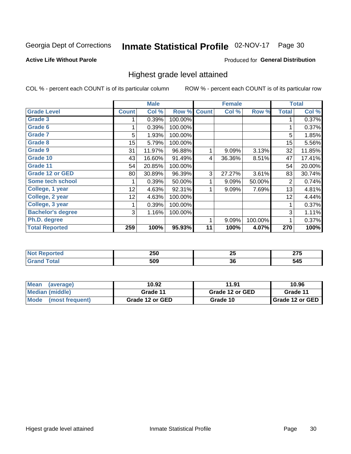## Inmate Statistical Profile 02-NOV-17 Page 30

#### **Active Life Without Parole**

#### Produced for General Distribution

## Highest grade level attained

COL % - percent each COUNT is of its particular column

|                          |              | <b>Male</b> |         |              | <b>Female</b> |         |              | <b>Total</b> |
|--------------------------|--------------|-------------|---------|--------------|---------------|---------|--------------|--------------|
| <b>Grade Level</b>       | <b>Count</b> | Col %       | Row %   | <b>Count</b> | Col %         | Row %   | <b>Total</b> | Col %        |
| <b>Grade 3</b>           |              | 0.39%       | 100.00% |              |               |         | 1            | 0.37%        |
| Grade 6                  |              | 0.39%       | 100.00% |              |               |         |              | 0.37%        |
| <b>Grade 7</b>           | 5            | 1.93%       | 100.00% |              |               |         | 5            | 1.85%        |
| <b>Grade 8</b>           | 15           | 5.79%       | 100.00% |              |               |         | 15           | 5.56%        |
| <b>Grade 9</b>           | 31           | 11.97%      | 96.88%  | 1            | 9.09%         | 3.13%   | 32           | 11.85%       |
| Grade 10                 | 43           | 16.60%      | 91.49%  | 4            | 36.36%        | 8.51%   | 47           | 17.41%       |
| Grade 11                 | 54           | 20.85%      | 100.00% |              |               |         | 54           | 20.00%       |
| <b>Grade 12 or GED</b>   | 80           | 30.89%      | 96.39%  | 3            | 27.27%        | 3.61%   | 83           | 30.74%       |
| Some tech school         |              | 0.39%       | 50.00%  | 1            | 9.09%         | 50.00%  | 2            | 0.74%        |
| College, 1 year          | 12           | 4.63%       | 92.31%  | 1            | 9.09%         | 7.69%   | 13           | 4.81%        |
| College, 2 year          | 12           | 4.63%       | 100.00% |              |               |         | 12           | 4.44%        |
| College, 3 year          |              | 0.39%       | 100.00% |              |               |         | 1            | 0.37%        |
| <b>Bachelor's degree</b> | 3            | 1.16%       | 100.00% |              |               |         | 3            | 1.11%        |
| Ph.D. degree             |              |             |         | 1            | 9.09%         | 100.00% | 1            | 0.37%        |
| <b>Total Reported</b>    | 259          | 100%        | 95.93%  | 11           | 100%          | 4.07%   | 270          | 100%         |

| חהח         | クド | $- -$           |
|-------------|----|-----------------|
| ZJU         | 20 | $\sim$ . $\sim$ |
| 500<br>ີນບພ | 36 |                 |

| <b>Mean</b><br>(average)       | 10.92           | 11.91           | 10.96           |  |
|--------------------------------|-----------------|-----------------|-----------------|--|
| Median (middle)                | Grade 11        | Grade 12 or GED | Grade 11        |  |
| <b>Mode</b><br>(most frequent) | Grade 12 or GED | Grade 10        | Grade 12 or GED |  |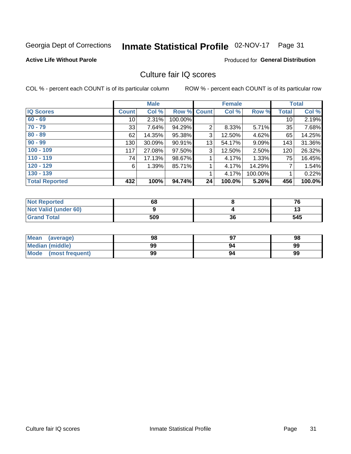## Inmate Statistical Profile 02-NOV-17 Page 31

#### **Active Life Without Parole**

### **Produced for General Distribution**

## Culture fair IQ scores

COL % - percent each COUNT is of its particular column

|                       |              | <b>Male</b> |             |                | <b>Female</b> |         |              | <b>Total</b> |
|-----------------------|--------------|-------------|-------------|----------------|---------------|---------|--------------|--------------|
| <b>IQ Scores</b>      | <b>Count</b> | Col %       | Row % Count |                | Col %         | Row %   | <b>Total</b> | Col %        |
| $60 - 69$             | 10           | 2.31%       | 100.00%     |                |               |         | 10           | 2.19%        |
| $70 - 79$             | 33           | 7.64%       | 94.29%      | $\overline{2}$ | 8.33%         | 5.71%   | 35           | 7.68%        |
| $80 - 89$             | 62           | 14.35%      | 95.38%      | 3              | 12.50%        | 4.62%   | 65           | 14.25%       |
| $90 - 99$             | 130          | 30.09%      | 90.91%      | 13             | 54.17%        | 9.09%   | 143          | 31.36%       |
| $100 - 109$           | 117          | 27.08%      | 97.50%      | 3              | 12.50%        | 2.50%   | 120          | 26.32%       |
| $110 - 119$           | 74           | 17.13%      | 98.67%      |                | 4.17%         | 1.33%   | 75           | 16.45%       |
| $120 - 129$           | 6            | 1.39%       | 85.71%      | 1              | 4.17%         | 14.29%  | 7            | 1.54%        |
| $130 - 139$           |              |             |             | 1              | 4.17%         | 100.00% |              | 0.22%        |
| <b>Total Reported</b> | 432          | 100%        | 94.74%      | 24             | 100.0%        | 5.26%   | 456          | 100.0%       |

| <b>Not Reported</b>  | 68  |    | 76  |
|----------------------|-----|----|-----|
| Not Valid (under 60) |     |    | w   |
| <b>Grand Total</b>   | 509 | 36 | 545 |

| Mean<br>(average)    | 98 |    | 98 |
|----------------------|----|----|----|
| Median (middle)      | 99 | 94 | 99 |
| Mode (most frequent) | 99 | 94 | 99 |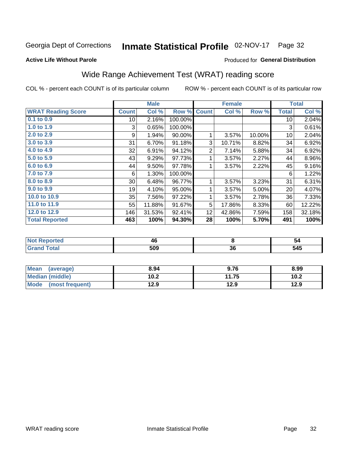# Inmate Statistical Profile 02-NOV-17 Page 32

#### **Active Life Without Parole**

### Produced for General Distribution

## Wide Range Achievement Test (WRAT) reading score

COL % - percent each COUNT is of its particular column

|                           |              | <b>Male</b> |         |                 | <b>Female</b> |        |              | <b>Total</b> |
|---------------------------|--------------|-------------|---------|-----------------|---------------|--------|--------------|--------------|
| <b>WRAT Reading Score</b> | <b>Count</b> | Col %       | Row %   | <b>Count</b>    | Col %         | Row %  | <b>Total</b> | Col %        |
| 0.1 to 0.9                | 10           | 2.16%       | 100.00% |                 |               |        | 10           | 2.04%        |
| 1.0 to 1.9                | 3            | 0.65%       | 100.00% |                 |               |        | 3            | 0.61%        |
| 2.0 to 2.9                | 9            | 1.94%       | 90.00%  |                 | 3.57%         | 10.00% | 10           | 2.04%        |
| 3.0 to 3.9                | 31           | 6.70%       | 91.18%  | 3               | 10.71%        | 8.82%  | 34           | 6.92%        |
| 4.0 to 4.9                | 32           | 6.91%       | 94.12%  | $\overline{2}$  | 7.14%         | 5.88%  | 34           | 6.92%        |
| 5.0 to 5.9                | 43           | 9.29%       | 97.73%  | 1               | 3.57%         | 2.27%  | 44           | 8.96%        |
| 6.0 to 6.9                | 44           | 9.50%       | 97.78%  | 1               | 3.57%         | 2.22%  | 45           | 9.16%        |
| 7.0 to 7.9                | 6            | 1.30%       | 100.00% |                 |               |        | 6            | 1.22%        |
| 8.0 to 8.9                | 30           | 6.48%       | 96.77%  | 1               | 3.57%         | 3.23%  | 31           | 6.31%        |
| 9.0 to 9.9                | 19           | 4.10%       | 95.00%  |                 | 3.57%         | 5.00%  | 20           | 4.07%        |
| 10.0 to 10.9              | 35           | 7.56%       | 97.22%  | 1               | 3.57%         | 2.78%  | 36           | 7.33%        |
| 11.0 to 11.9              | 55           | 11.88%      | 91.67%  | 5               | 17.86%        | 8.33%  | 60           | 12.22%       |
| 12.0 to 12.9              | 146          | 31.53%      | 92.41%  | 12 <sub>1</sub> | 42.86%        | 7.59%  | 158          | 32.18%       |
| <b>Total Reported</b>     | 463          | 100%        | 94.30%  | 28              | 100%          | 5.70%  | 491          | 100%         |

| 46<br>$\overline{\phantom{a}}$ |    | -54 |
|--------------------------------|----|-----|
| -00<br>JUL                     | აი | 545 |

| <b>Mean</b><br>(average)       | 8.94 | 9.76  | 8.99 |
|--------------------------------|------|-------|------|
| Median (middle)                | 10.2 | 11.75 | 10.2 |
| <b>Mode</b><br>(most frequent) | 12.9 | 12.9  | 12.9 |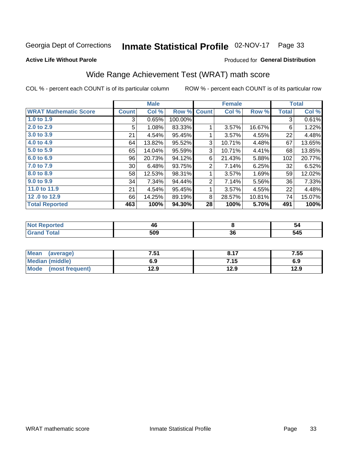## Inmate Statistical Profile 02-NOV-17 Page 33

#### **Active Life Without Parole**

#### Produced for General Distribution

## Wide Range Achievement Test (WRAT) math score

COL % - percent each COUNT is of its particular column

|                              |              | <b>Male</b> |         |              | <b>Female</b> |        |                 | <b>Total</b> |
|------------------------------|--------------|-------------|---------|--------------|---------------|--------|-----------------|--------------|
| <b>WRAT Mathematic Score</b> | <b>Count</b> | Col %       | Row %   | <b>Count</b> | Col %         | Row %  | Total           | Col %        |
| 1.0 to 1.9                   | 3            | 0.65%       | 100.00% |              |               |        | 3               | 0.61%        |
| 2.0 to 2.9                   | 5            | 1.08%       | 83.33%  |              | 3.57%         | 16.67% | 6               | 1.22%        |
| 3.0 to 3.9                   | 21           | 4.54%       | 95.45%  | 1            | 3.57%         | 4.55%  | 22              | 4.48%        |
| 4.0 to 4.9                   | 64           | 13.82%      | 95.52%  | 3            | 10.71%        | 4.48%  | 67              | 13.65%       |
| 5.0 to 5.9                   | 65           | 14.04%      | 95.59%  | 3            | 10.71%        | 4.41%  | 68              | 13.85%       |
| 6.0 to 6.9                   | 96           | 20.73%      | 94.12%  | 6            | 21.43%        | 5.88%  | 102             | 20.77%       |
| 7.0 to 7.9                   | 30           | 6.48%       | 93.75%  | 2            | 7.14%         | 6.25%  | 32              | 6.52%        |
| 8.0 to 8.9                   | 58           | 12.53%      | 98.31%  | 1            | 3.57%         | 1.69%  | 59              | 12.02%       |
| 9.0 to 9.9                   | 34           | 7.34%       | 94.44%  | 2            | 7.14%         | 5.56%  | 36 <sub>1</sub> | 7.33%        |
| 11.0 to 11.9                 | 21           | 4.54%       | 95.45%  | 1            | 3.57%         | 4.55%  | 22              | 4.48%        |
| 12.0 to 12.9                 | 66           | 14.25%      | 89.19%  | 8            | 28.57%        | 10.81% | 74              | 15.07%       |
| <b>Total Reported</b>        | 463          | 100%        | 94.30%  | 28           | 100%          | 5.70%  | 491             | 100%         |

| N<br>. | 4L           |    | 54      |
|--------|--------------|----|---------|
|        | EAN<br>- - - | ათ | .<br>ÄЛ |

| <b>Mean</b><br>(average) | 7.51 | 9.17 | 7.55 |
|--------------------------|------|------|------|
| <b>Median (middle)</b>   | 6.9  | 7.15 | 6.9  |
| Mode<br>(most frequent)  | 12.9 | 12.9 | 12.9 |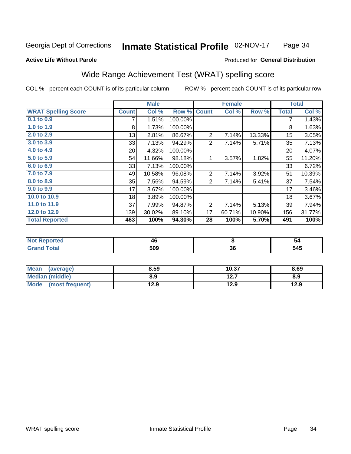#### Inmate Statistical Profile 02-NOV-17 Page 34

#### **Active Life Without Parole**

#### Produced for General Distribution

## Wide Range Achievement Test (WRAT) spelling score

COL % - percent each COUNT is of its particular column

|                            |                 | <b>Male</b> |         |                | <b>Female</b> |        |              | <b>Total</b> |
|----------------------------|-----------------|-------------|---------|----------------|---------------|--------|--------------|--------------|
| <b>WRAT Spelling Score</b> | <b>Count</b>    | Col %       | Row %   | <b>Count</b>   | Col %         | Row %  | <b>Total</b> | Col %        |
| 0.1 to 0.9                 | 7               | 1.51%       | 100.00% |                |               |        | 7            | 1.43%        |
| 1.0 to 1.9                 | 8               | 1.73%       | 100.00% |                |               |        | 8            | 1.63%        |
| 2.0 to 2.9                 | 13              | 2.81%       | 86.67%  | $\overline{2}$ | 7.14%         | 13.33% | 15           | 3.05%        |
| 3.0 to 3.9                 | 33              | 7.13%       | 94.29%  | 2              | 7.14%         | 5.71%  | 35           | 7.13%        |
| 4.0 to 4.9                 | 20 <sup>°</sup> | 4.32%       | 100.00% |                |               |        | 20           | 4.07%        |
| 5.0 to 5.9                 | 54              | 11.66%      | 98.18%  | 1              | 3.57%         | 1.82%  | 55           | 11.20%       |
| 6.0 to 6.9                 | 33              | 7.13%       | 100.00% |                |               |        | 33           | 6.72%        |
| 7.0 to 7.9                 | 49              | 10.58%      | 96.08%  | $\overline{2}$ | 7.14%         | 3.92%  | 51           | 10.39%       |
| 8.0 to 8.9                 | 35              | 7.56%       | 94.59%  | 2              | 7.14%         | 5.41%  | 37           | 7.54%        |
| 9.0 to 9.9                 | 17              | 3.67%       | 100.00% |                |               |        | 17           | 3.46%        |
| 10.0 to 10.9               | 18              | 3.89%       | 100.00% |                |               |        | 18           | 3.67%        |
| 11.0 to 11.9               | 37              | 7.99%       | 94.87%  | 2              | 7.14%         | 5.13%  | 39           | 7.94%        |
| 12.0 to 12.9               | 139             | 30.02%      | 89.10%  | 17             | 60.71%        | 10.90% | 156          | 31.77%       |
| <b>Total Reported</b>      | 463             | 100%        | 94.30%  | 28             | 100%          | 5.70%  | 491          | 100%         |

| тес | 40<br>__ |    | - 54 |
|-----|----------|----|------|
|     | 509      | აი | 545  |

| <b>Mean</b><br>(average) | 8.59 | 10.37 | 8.69 |
|--------------------------|------|-------|------|
| Median (middle)          | 8.9  | 12.7  | 8.9  |
| Mode (most frequent)     | 12.9 | 12.9  | 12.9 |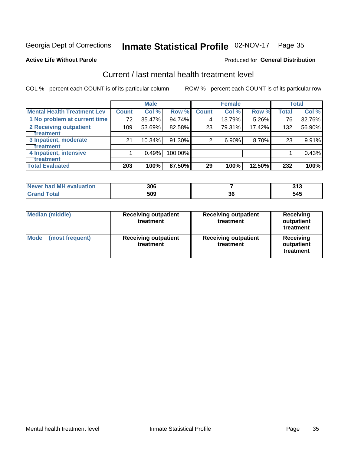## Inmate Statistical Profile 02-NOV-17 Page 35

#### **Active Life Without Parole**

#### Produced for General Distribution

## Current / last mental health treatment level

COL % - percent each COUNT is of its particular column

|                                    |                 | <b>Male</b> |         |              | <b>Female</b> |        |                  | <b>Total</b> |
|------------------------------------|-----------------|-------------|---------|--------------|---------------|--------|------------------|--------------|
| <b>Mental Health Treatment Lev</b> | <b>Count</b>    | Col %       | Row %   | <b>Count</b> | Col %         | Row %  | Total            | Col %        |
| 1 No problem at current time       | 72 <sub>1</sub> | 35.47%      | 94.74%  | 4            | 13.79%        | 5.26%  | 76               | 32.76%       |
| 2 Receiving outpatient             | 109             | 53.69%      | 82.58%  | 23           | 79.31%        | 17.42% | 132 <sub>1</sub> | 56.90%       |
| <b>Treatment</b>                   |                 |             |         |              |               |        |                  |              |
| 3 Inpatient, moderate              | 21              | 10.34%      | 91.30%  | 2            | 6.90%         | 8.70%  | 23               | 9.91%        |
| <b>Treatment</b>                   |                 |             |         |              |               |        |                  |              |
| 4 Inpatient, intensive             |                 | 0.49%       | 100.00% |              |               |        |                  | 0.43%        |
| Treatment                          |                 |             |         |              |               |        |                  |              |
| <b>Total Evaluated</b>             | 203             | 100%        | 87.50%  | 29           | 100%          | 12.50% | 232              | 100%         |

| Never had MH evaluation | 306 |    | 24c<br>J I J |
|-------------------------|-----|----|--------------|
| <b>Total</b>            | 509 | ათ | 545          |

| <b>Median (middle)</b>         | <b>Receiving outpatient</b><br>treatment | <b>Receiving outpatient</b><br>treatment | <b>Receiving</b><br>outpatient<br>treatment |  |
|--------------------------------|------------------------------------------|------------------------------------------|---------------------------------------------|--|
| <b>Mode</b><br>(most frequent) | <b>Receiving outpatient</b><br>treatment | <b>Receiving outpatient</b><br>treatment | <b>Receiving</b><br>outpatient<br>treatment |  |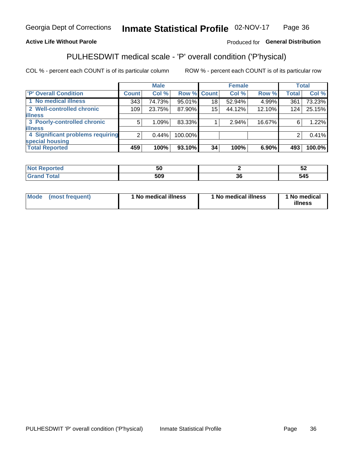#### Inmate Statistical Profile 02-NOV-17 Page 36

### **Active Life Without Parole**

### Produced for General Distribution

## PULHESDWIT medical scale - 'P' overall condition ('P'hysical)

COL % - percent each COUNT is of its particular column

|                                  |                  | <b>Male</b> |           |                    | <b>Female</b> |        |              | <b>Total</b> |
|----------------------------------|------------------|-------------|-----------|--------------------|---------------|--------|--------------|--------------|
| 'P' Overall Condition            | Count l          | Col %       |           | <b>Row % Count</b> | Col %         | Row %  | <b>Total</b> | Col %        |
| 1 No medical illness             | 343              | 74.73%      | 95.01%    | 18                 | 52.94%        | 4.99%  | 361          | 73.23%       |
| 2 Well-controlled chronic        | 109 <sub>1</sub> | 23.75%      | 87.90%    | 15                 | 44.12%        | 12.10% | 124          | 25.15%       |
| <b>illness</b>                   |                  |             |           |                    |               |        |              |              |
| 3 Poorly-controlled chronic      | 5                | 1.09%       | 83.33%    |                    | 2.94%         | 16.67% | 6            | 1.22%        |
| <b>illness</b>                   |                  |             |           |                    |               |        |              |              |
| 4 Significant problems requiring | ົ                | 0.44%       | 100.00%   |                    |               |        | 2            | 0.41%        |
| special housing                  |                  |             |           |                    |               |        |              |              |
| <b>Total Reported</b>            | 459              | 100%        | $93.10\%$ | 34                 | 100%          | 6.90%  | 493          | 100.0%       |

| ้วน |     | ◡▵ |
|-----|-----|----|
| 509 | - - | -- |

| <b>Mode</b> | (most frequent) | ' No medical illness | 1 No medical illness | 1 No medical<br>illness |
|-------------|-----------------|----------------------|----------------------|-------------------------|
|-------------|-----------------|----------------------|----------------------|-------------------------|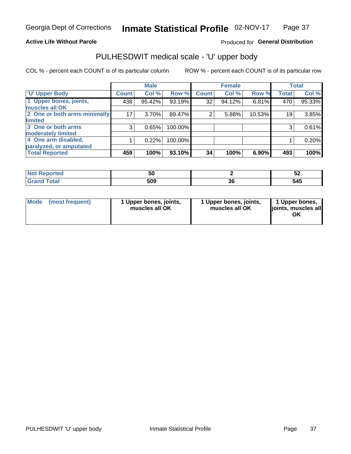#### **Active Life Without Parole**

### Produced for General Distribution

## PULHESDWIT medical scale - 'U' upper body

COL % - percent each COUNT is of its particular column

|                              |               | <b>Male</b> |         |              | <b>Female</b> |        |              | <b>Total</b> |
|------------------------------|---------------|-------------|---------|--------------|---------------|--------|--------------|--------------|
| <b>U' Upper Body</b>         | <b>Count!</b> | Col %       | Row %   | <b>Count</b> | Col %         | Row %  | <b>Total</b> | Col %        |
| 1 Upper bones, joints,       | 438           | 95.42%      | 93.19%  | 32           | 94.12%        | 6.81%  | 470          | 95.33%       |
| muscles all OK               |               |             |         |              |               |        |              |              |
| 2 One or both arms minimally | 17            | 3.70%       | 89.47%  | 2            | 5.88%         | 10.53% | 19           | 3.85%        |
| limited                      |               |             |         |              |               |        |              |              |
| 3 One or both arms           | 3             | 0.65%       | 100.00% |              |               |        | 3            | 0.61%        |
| <b>moderately limited</b>    |               |             |         |              |               |        |              |              |
| 4 One arm disabled,          |               | 0.22%       | 100.00% |              |               |        |              | 0.20%        |
| paralyzed, or amputated      |               |             |         |              |               |        |              |              |
| <b>Total Reported</b>        | 459           | 100%        | 93.10%  | 34           | 100%          | 6.90%  | 493          | 100%         |

| <b>Not Reported</b><br>⋯ | วบ  |    | ◡▵  |
|--------------------------|-----|----|-----|
| <b>Total</b>             | 509 | ^^ | 515 |
| <b>UI 41 I 4</b>         |     | u  | りケソ |

|  | Mode (most frequent) | 1 Upper bones, joints,<br>muscles all OK | 1 Upper bones, joints,<br>muscles all OK | 1 Upper bones,<br>ljoints, muscles all<br>ΟK |
|--|----------------------|------------------------------------------|------------------------------------------|----------------------------------------------|
|--|----------------------|------------------------------------------|------------------------------------------|----------------------------------------------|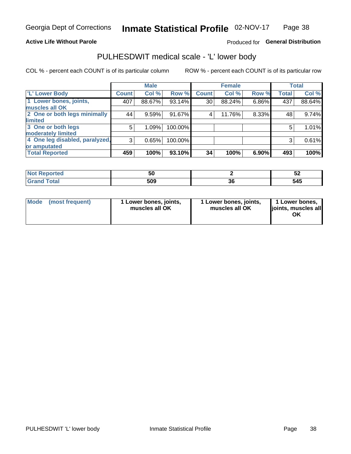#### **Active Life Without Parole**

### Produced for General Distribution

## PULHESDWIT medical scale - 'L' lower body

COL % - percent each COUNT is of its particular column

|                                     | <b>Male</b> |              | <b>Female</b>                                             |       |              | <b>Total</b> |
|-------------------------------------|-------------|--------------|-----------------------------------------------------------|-------|--------------|--------------|
| <b>Count</b>                        | Col %       | <b>Count</b> | Col %                                                     | Row % | <b>Total</b> | Col %        |
| 407                                 | 88.67%      | 30           | 88.24%                                                    | 6.86% | 437          | 88.64%       |
|                                     |             |              |                                                           |       |              |              |
| 2 One or both legs minimally<br>44  | 9.59%       | 4            | 11.76%                                                    |       | 48           | 9.74%        |
|                                     |             |              |                                                           |       |              |              |
| 5                                   | 1.09%       |              |                                                           |       | 5            | 1.01%        |
|                                     |             |              |                                                           |       |              |              |
| 4 One leg disabled, paralyzed,<br>3 | 0.65%       |              |                                                           |       | 3            | 0.61%        |
|                                     |             |              |                                                           |       |              |              |
| 459                                 | 100%        | 34           | 100%                                                      | 6.90% | 493          | 100%         |
|                                     |             |              | Row %<br>93.14%<br>91.67%<br>100.00%<br>100.00%<br>93.10% |       |              | 8.33%        |

| <b>Not Reported</b><br>⋯ | วบ  |    | ◡▵  |
|--------------------------|-----|----|-----|
| <b>Total</b>             | 509 | ^^ | 515 |
| <b>UI 41 I 4</b>         |     | u  | りケソ |

|  | Mode (most frequent) | 1 Lower bones, joints,<br>muscles all OK | 1 Lower bones, joints,<br>muscles all OK | 1 Lower bones,<br>ljoints, muscles all<br>ΟK |
|--|----------------------|------------------------------------------|------------------------------------------|----------------------------------------------|
|--|----------------------|------------------------------------------|------------------------------------------|----------------------------------------------|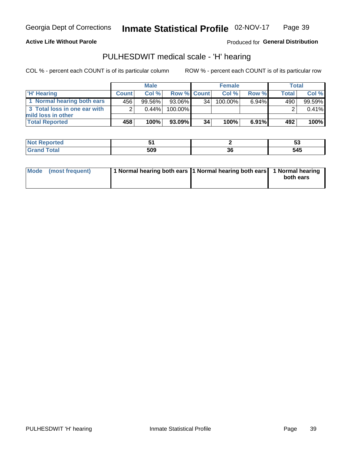**Active Life Without Parole** 

Produced for General Distribution

## PULHESDWIT medical scale - 'H' hearing

COL % - percent each COUNT is of its particular column

|                              | <b>Male</b>  |          | <b>Female</b>      |    |            | Total |              |        |
|------------------------------|--------------|----------|--------------------|----|------------|-------|--------------|--------|
| <b>H'</b> Hearing            | <b>Count</b> | Col%     | <b>Row % Count</b> |    | Col%       | Row % | <b>Total</b> | Col %  |
| 1 Normal hearing both ears   | 456          | 99.56%   | 93.06%             | 34 | $100.00\%$ | 6.94% | 490          | 99.59% |
| 3 Total loss in one ear with | ⌒            | $0.44\%$ | 100.00%            |    |            |       |              | 0.41%  |
| mild loss in other           |              |          |                    |    |            |       |              |        |
| <b>Total Reported</b>        | 458'         | 100%     | 93.09%             | 34 | 100%       | 6.91% | 492          | 100%   |

| $\sim$              |    | ◡   |
|---------------------|----|-----|
| EAN<br>りひこ<br>- - - | JС | 545 |

|  | Mode (most frequent) | 1 Normal hearing both ears 1 Normal hearing both ears 1 Normal hearing |  | both ears |
|--|----------------------|------------------------------------------------------------------------|--|-----------|
|--|----------------------|------------------------------------------------------------------------|--|-----------|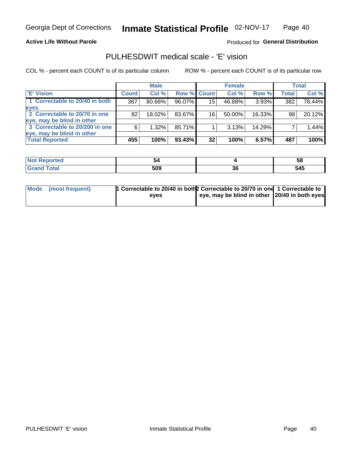**Active Life Without Parole** 

Produced for General Distribution

## PULHESDWIT medical scale - 'E' vision

COL % - percent each COUNT is of its particular column

|                                |              | <b>Male</b> |           |                    | <b>Female</b> |        |              | <b>Total</b> |
|--------------------------------|--------------|-------------|-----------|--------------------|---------------|--------|--------------|--------------|
| 'E' Vision                     | <b>Count</b> | Col %       |           | <b>Row % Count</b> | Col %         | Row %  | <b>Total</b> | Col %        |
| 1 Correctable to 20/40 in both | 367          | 80.66%      | 96.07%    | 15 <sub>1</sub>    | 46.88%        | 3.93%  | 382          | 78.44%       |
| eyes                           |              |             |           |                    |               |        |              |              |
| 2 Correctable to 20/70 in one  | 82           | 18.02%      | 83.67%    | 16                 | 50.00%        | 16.33% | 98           | 20.12%       |
| eye, may be blind in other     |              |             |           |                    |               |        |              |              |
| 3 Correctable to 20/200 in one | 6            | 1.32%       | 85.71%    |                    | 3.13%         | 14.29% |              | 1.44%        |
| eye, may be blind in other     |              |             |           |                    |               |        |              |              |
| <b>Total Reported</b>          | 455          | 100%        | $93.43\%$ | 32                 | 100%          | 6.57%  | 487          | 100%         |

| <b>Reported</b> |     |    | . სბ |
|-----------------|-----|----|------|
| <b>Oldi</b>     | 509 | JЧ | 545  |

| Mode (most frequent) | 1 Correctable to 20/40 in both 2 Correctable to 20/70 in one 1 Correctable to |                                                       |  |
|----------------------|-------------------------------------------------------------------------------|-------------------------------------------------------|--|
|                      | eves                                                                          | eye, may be blind in other $\vert$ 20/40 in both eyes |  |
|                      |                                                                               |                                                       |  |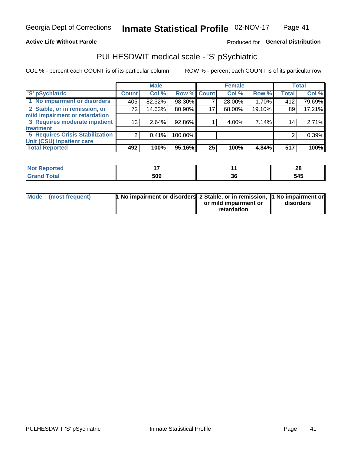#### **Active Life Without Parole**

### Produced for General Distribution

## PULHESDWIT medical scale - 'S' pSychiatric

COL % - percent each COUNT is of its particular column

|                                        |                 | <b>Male</b> |             |    | <b>Female</b> |        |              | Total  |
|----------------------------------------|-----------------|-------------|-------------|----|---------------|--------|--------------|--------|
| 'S' pSychiatric                        | <b>Count</b>    | Col %       | Row % Count |    | Col %         | Row %  | <b>Total</b> | Col %  |
| 1 No impairment or disorders           | 405             | 82.32%      | 98.30%      |    | 28.00%        | 1.70%  | 412          | 79.69% |
| 2 Stable, or in remission, or          | 72              | 14.63%      | 80.90%      | 17 | 68.00%        | 19.10% | 89           | 17.21% |
| mild impairment or retardation         |                 |             |             |    |               |        |              |        |
| 3 Requires moderate inpatient          | 13 <sub>1</sub> | 2.64%       | 92.86%      |    | 4.00%         | 7.14%  | 14           | 2.71%  |
| treatment                              |                 |             |             |    |               |        |              |        |
| <b>5 Requires Crisis Stabilization</b> | ◠               | 0.41%       | 100.00%     |    |               |        | 2            | 0.39%  |
| Unit (CSU) inpatient care              |                 |             |             |    |               |        |              |        |
| <b>Total Reported</b>                  | 492             | 100%        | 95.16%      | 25 | 100%          | 4.84%  | 517          | 100%   |

| 11 – 10 |              |           | ഹ<br>ZO |
|---------|--------------|-----------|---------|
|         | 509<br>- - - | ^ ^<br>JС | 545     |

| Mode (most frequent) | <sup>1</sup> No impairment or disorders 2 Stable, or in remission, <sup>1</sup> No impairment or |                       |           |
|----------------------|--------------------------------------------------------------------------------------------------|-----------------------|-----------|
|                      |                                                                                                  | or mild impairment or | disorders |
|                      |                                                                                                  | retardation           |           |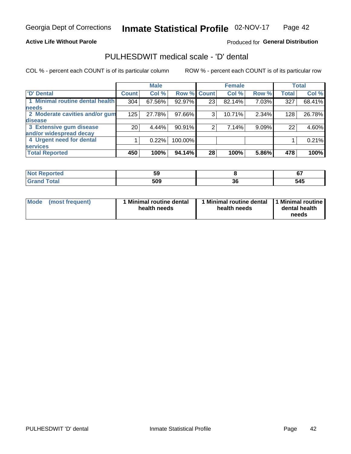#### **Active Life Without Parole**

### Produced for General Distribution

## PULHESDWIT medical scale - 'D' dental

COL % - percent each COUNT is of its particular column

|                                 |                 | <b>Male</b> |         |             | <b>Female</b> |       |              | <b>Total</b> |
|---------------------------------|-----------------|-------------|---------|-------------|---------------|-------|--------------|--------------|
| <b>D'</b> Dental                | <b>Count</b>    | Col %       |         | Row % Count | Col %         | Row % | <b>Total</b> | Col %        |
| 1 Minimal routine dental health | 304             | 67.56%      | 92.97%  | 23          | 82.14%        | 7.03% | 327          | 68.41%       |
| <b>needs</b>                    |                 |             |         |             |               |       |              |              |
| 2 Moderate cavities and/or gum  | 125             | 27.78%      | 97.66%  | 3           | 10.71%        | 2.34% | 128          | 26.78%       |
| disease                         |                 |             |         |             |               |       |              |              |
| 3 Extensive gum disease         | 20 <sub>1</sub> | 4.44%       | 90.91%  | 2           | 7.14%         | 9.09% | 22           | 4.60%        |
| and/or widespread decay         |                 |             |         |             |               |       |              |              |
| 4 Urgent need for dental        |                 | 0.22%       | 100.00% |             |               |       |              | 0.21%        |
| <b>services</b>                 |                 |             |         |             |               |       |              |              |
| <b>Total Reported</b>           | 450             | 100%        | 94.14%  | 28          | 100%          | 5.86% | 478          | 100%         |

| prτea<br><b>NOT REDO</b><br>$\sim$ | 59  |          | ~7  |
|------------------------------------|-----|----------|-----|
| Total                              | 509 | ^'<br>ახ | 545 |

| <b>Mode</b> | (most frequent) | <b>Minimal routine dental</b><br>health needs | 1 Minimal routine dental<br>health needs | <b>11 Minimal routine I</b><br>dental health<br>needs |
|-------------|-----------------|-----------------------------------------------|------------------------------------------|-------------------------------------------------------|
|-------------|-----------------|-----------------------------------------------|------------------------------------------|-------------------------------------------------------|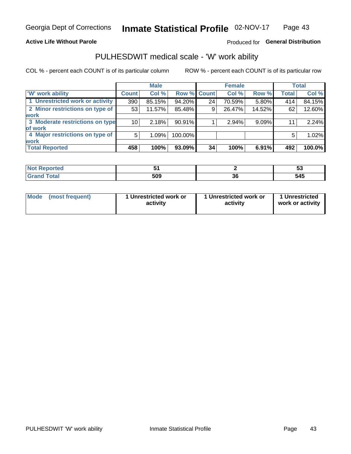#### **Active Life Without Parole**

### Produced for General Distribution

## PULHESDWIT medical scale - 'W' work ability

COL % - percent each COUNT is of its particular column

|                                 |                 | <b>Male</b> |                    |    | <b>Female</b> |        |              | <b>Total</b> |
|---------------------------------|-----------------|-------------|--------------------|----|---------------|--------|--------------|--------------|
| <b>W' work ability</b>          | <b>Count</b>    | Col %       | <b>Row % Count</b> |    | Col %         | Row %  | <b>Total</b> | Col %        |
| 1 Unrestricted work or activity | 390             | 85.15%      | 94.20%             | 24 | 70.59%        | 5.80%  | 414          | 84.15%       |
| 2 Minor restrictions on type of | 53              | 11.57%      | 85.48%             | 9  | 26.47%        | 14.52% | 62           | 12.60%       |
| <b>work</b>                     |                 |             |                    |    |               |        |              |              |
| 3 Moderate restrictions on type | 10 <sub>1</sub> | 2.18%       | 90.91%             |    | 2.94%         | 9.09%  | 11           | 2.24%        |
| of work                         |                 |             |                    |    |               |        |              |              |
| 4 Major restrictions on type of | 5               | 1.09%       | 100.00%            |    |               |        | 5            | 1.02%        |
| <b>work</b>                     |                 |             |                    |    |               |        |              |              |
| <b>Total Reported</b>           | 458             | 100%        | 93.09%             | 34 | 100%          | 6.91%  | 492          | 100.0%       |

| п дан | $\sim$ |           | v,  |
|-------|--------|-----------|-----|
|       | 509    | ^^<br>oc. | 545 |

| Mode            | 1 Unrestricted work or | 1 Unrestricted work or | 1 Unrestricted   |
|-----------------|------------------------|------------------------|------------------|
| (most frequent) | activity               | activity               | work or activity |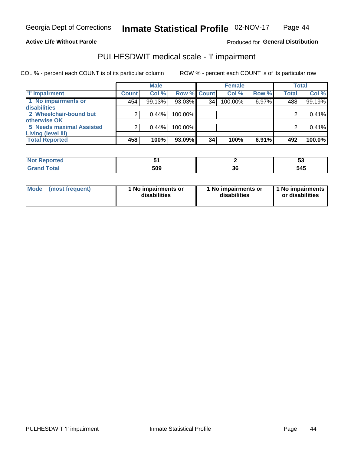**Active Life Without Parole** 

Produced for General Distribution

## PULHESDWIT medical scale - 'I' impairment

COL % - percent each COUNT is of its particular column

|                                 |              | <b>Male</b> |                    |    | <b>Female</b> |       |              | <b>Total</b> |
|---------------------------------|--------------|-------------|--------------------|----|---------------|-------|--------------|--------------|
| I'l' Impairment                 | <b>Count</b> | Col%        | <b>Row % Count</b> |    | Col%          | Row % | <b>Total</b> | Col %        |
| 1 No impairments or             | 454          | 99.13%      | $93.03\%$          | 34 | 100.00%       | 6.97% | 488          | 99.19%       |
| disabilities                    |              |             |                    |    |               |       |              |              |
| 2 Wheelchair-bound but          |              | 0.44%       | 100.00%            |    |               |       |              | 0.41%        |
| otherwise OK                    |              |             |                    |    |               |       |              |              |
| <b>5 Needs maximal Assisted</b> |              | 0.44%       | 100.00%            |    |               |       |              | 0.41%        |
| <b>Living (level III)</b>       |              |             |                    |    |               |       |              |              |
| <b>Total Reported</b>           | 458          | 100%        | 93.09%             | 34 | 100%          | 6.91% | 492          | 100.0%       |

| <b>Not</b><br>пео<br>a a vez di di di s |     |    | ◡            |
|-----------------------------------------|-----|----|--------------|
|                                         | 509 | ათ | - - -<br>545 |

| <b>Mode</b>     | 1 No impairments or | 1 No impairments or | 1 No impairments |
|-----------------|---------------------|---------------------|------------------|
| (most frequent) | disabilities        | disabilities        | or disabilities  |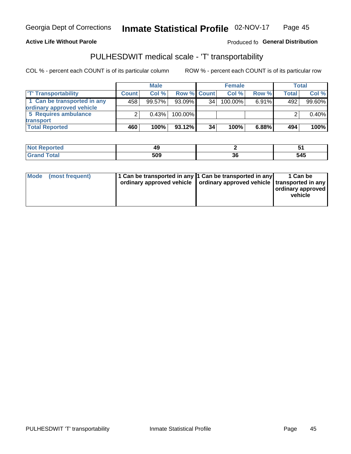#### **Active Life Without Parole**

#### Produced fo General Distribution

## PULHESDWIT medical scale - 'T' transportability

COL % - percent each COUNT is of its particular column

|                             |              | <b>Male</b> |                    |    | <b>Female</b> |          |              | Total  |
|-----------------------------|--------------|-------------|--------------------|----|---------------|----------|--------------|--------|
| <b>T' Transportability</b>  | <b>Count</b> | Col%        | <b>Row % Count</b> |    | Col %         | Row %    | <b>Total</b> | Col %  |
| 1 Can be transported in any | 458          | 99.57%      | $93.09\%$          | 34 | $100.00\%$    | $6.91\%$ | 492          | 99.60% |
| ordinary approved vehicle   |              |             |                    |    |               |          |              |        |
| 5 Requires ambulance        |              | 0.43%       | 100.00%            |    |               |          |              | 0.40%  |
| transport                   |              |             |                    |    |               |          |              |        |
| <b>Total Reported</b>       | 460          | 100%        | $93.12\%$          | 34 | 100%          | $6.88\%$ | 494          | 100%   |

| <b>Reported</b><br>ּ מש | 49  |    | . . |
|-------------------------|-----|----|-----|
| Total                   | 509 | ათ | 545 |

|  | Mode (most frequent) | 1 Can be transported in any 1 Can be transported in any | ordinary approved vehicle   ordinary approved vehicle   transported in any | 1 Can be<br>  ordinary approved  <br>vehicle |
|--|----------------------|---------------------------------------------------------|----------------------------------------------------------------------------|----------------------------------------------|
|--|----------------------|---------------------------------------------------------|----------------------------------------------------------------------------|----------------------------------------------|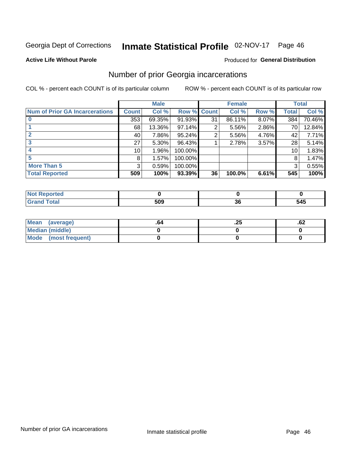## Inmate Statistical Profile 02-NOV-17 Page 46

#### **Active Life Without Parole**

#### Produced for General Distribution

## Number of prior Georgia incarcerations

COL % - percent each COUNT is of its particular column

|                                       |                 | <b>Male</b> |           |              | <b>Female</b> |       |       | <b>Total</b> |
|---------------------------------------|-----------------|-------------|-----------|--------------|---------------|-------|-------|--------------|
| <b>Num of Prior GA Incarcerations</b> | <b>Count</b>    | Col %       | Row %     | <b>Count</b> | Col %         | Row % | Total | Col %        |
|                                       | 353             | 69.35%      | 91.93%    | 31           | 86.11%        | 8.07% | 384   | 70.46%       |
|                                       | 68              | 13.36%      | $97.14\%$ | 2            | 5.56%         | 2.86% | 70    | 12.84%       |
|                                       | 40 l            | 7.86%       | 95.24%    | 2            | 5.56%         | 4.76% | 42    | 7.71%        |
| 3                                     | 27 <sup>1</sup> | 5.30%       | 96.43%    |              | 2.78%         | 3.57% | 28    | 5.14%        |
|                                       | 10 <sup>1</sup> | 1.96%       | 100.00%   |              |               |       | 10    | 1.83%        |
| 5                                     | 8               | 1.57%       | 100.00%   |              |               |       | 8     | 1.47%        |
| <b>More Than 5</b>                    | 3               | 0.59%       | 100.00%   |              |               |       | 3     | 0.55%        |
| <b>Total Reported</b>                 | 509             | 100%        | 93.39%    | 36           | 100.0%        | 6.61% | 545   | 100%         |

| nrreg          |     |    |     |
|----------------|-----|----|-----|
| otal<br>$\sim$ | חה: | IJ | 545 |

| Mean (average)       | -04 | ن ے. | ٥۷. |
|----------------------|-----|------|-----|
| Median (middle)      |     |      |     |
| Mode (most frequent) |     |      |     |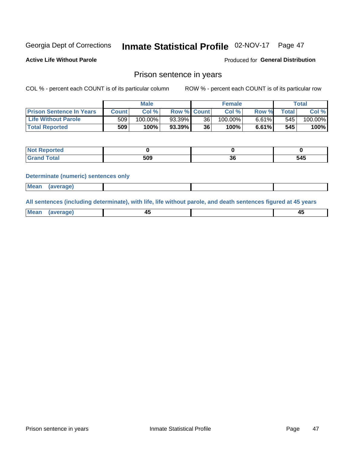#### Inmate Statistical Profile 02-NOV-17 Page 47

**Active Life Without Parole** 

Produced for General Distribution

## Prison sentence in years

COL % - percent each COUNT is of its particular column

ROW % - percent each COUNT is of its particular row

|                                 | <b>Male</b> |            |                    |    | <b>Female</b> | Total |       |         |
|---------------------------------|-------------|------------|--------------------|----|---------------|-------|-------|---------|
| <b>Prison Sentence In Years</b> | Count l     | Col %      | <b>Row % Count</b> |    | Col %         | Row % | Total | Col %   |
| <b>Life Without Parole</b>      | 509         | $100.00\%$ | $93.39\%$          | 36 | $100.00\%$    | 6.61% | 545   | 100.00% |
| <b>Total Reported</b>           | 509         | 100%       | $93.39\%$          | 36 | $100\%$       | 6.61% | 545   | 100%    |

| Reported<br>$\sim$ |     |     |              |
|--------------------|-----|-----|--------------|
|                    | 509 | IJL | - - -<br>545 |

#### **Determinate (numeric) sentences only**

| <b>Mean</b><br>(average) |  |  |
|--------------------------|--|--|
|--------------------------|--|--|

All sentences (including determinate), with life, life without parole, and death sentences figured at 45 years

| Me: |  |  |
|-----|--|--|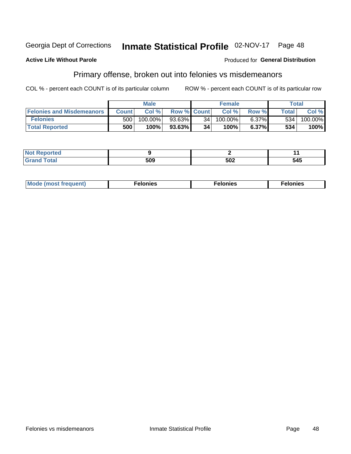#### Georgia Dept of Corrections Inmate Statistical Profile 02-NOV-17 Page 48

#### **Active Life Without Parole**

#### Produced for General Distribution

## Primary offense, broken out into felonies vs misdemeanors

COL % - percent each COUNT is of its particular column

|                                  | <b>Male</b>  |         |                    | <b>Female</b> |         |       | Total        |            |
|----------------------------------|--------------|---------|--------------------|---------------|---------|-------|--------------|------------|
| <b>Felonies and Misdemeanors</b> | <b>Count</b> | Col%    | <b>Row % Count</b> |               | Col%    | Row % | <b>Total</b> | Col %      |
| <b>Felonies</b>                  | 500          | 100.00% | 93.63%             | 34            | 100.00% | 6.37% | 534          | $100.00\%$ |
| <b>Total Reported</b>            | 500          | $100\%$ | $93.63\%$          | 34            | 100%    | 6.37% | 534          | 100%       |

| <b>Not Reported</b>        |             |     |     |
|----------------------------|-------------|-----|-----|
| <b>otal</b><br>Gran<br>uuu | . הר<br>JUJ | 502 | 545 |

| $Mc$<br>equent)<br>нез<br>$\sim$<br>. | onies<br>. | <b>onies</b><br>. |
|---------------------------------------|------------|-------------------|
|---------------------------------------|------------|-------------------|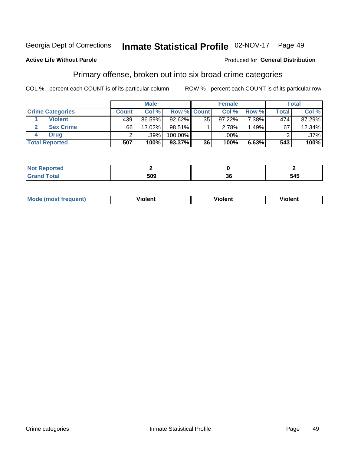#### Inmate Statistical Profile 02-NOV-17 Georgia Dept of Corrections Page 49

#### **Active Life Without Parole**

#### Produced for General Distribution

## Primary offense, broken out into six broad crime categories

COL % - percent each COUNT is of its particular column

|                         | <b>Male</b>  |        |                    | <b>Female</b>   |        |       | Total        |         |
|-------------------------|--------------|--------|--------------------|-----------------|--------|-------|--------------|---------|
| <b>Crime Categories</b> | <b>Count</b> | Col%   | <b>Row % Count</b> |                 | Col %  | Row % | <b>Total</b> | Col %   |
| <b>Violent</b>          | 439          | 86.59% | $92.62\%$          | 35              | 97.22% | 7.38% | 474          | 87.29%  |
| <b>Sex Crime</b>        | 66           | 13.02% | 98.51%             |                 | 2.78%  | 1.49% | 67           | 12.34%  |
| <b>Drug</b>             |              | .39%   | 100.00%            |                 | .00%   |       |              | $.37\%$ |
| <b>Total Reported</b>   | 507          | 100%   | 93.37%             | 36 <sub>1</sub> | 100%   | 6.63% | 543          | 100%    |

| ______ | EOO | - 11 | 686<br>34J<br>. . |
|--------|-----|------|-------------------|

| <b>Mode (most frequent)</b> | .             |         | .     |
|-----------------------------|---------------|---------|-------|
|                             | <b>ïolent</b> | ∕iolent | ∍lent |
|                             |               |         |       |
|                             |               |         |       |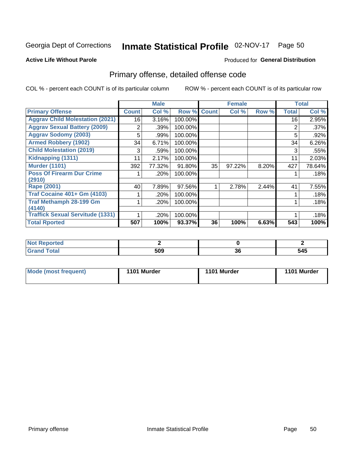## Inmate Statistical Profile 02-NOV-17 Page 50

#### **Active Life Without Parole**

#### Produced for General Distribution

## Primary offense, detailed offense code

COL % - percent each COUNT is of its particular column

|                                         |              | <b>Male</b> |         |              | <b>Female</b> |       |              | <b>Total</b> |
|-----------------------------------------|--------------|-------------|---------|--------------|---------------|-------|--------------|--------------|
| <b>Primary Offense</b>                  | <b>Count</b> | Col %       | Row %   | <b>Count</b> | Col %         | Row % | <b>Total</b> | Col %        |
| <b>Aggrav Child Molestation (2021)</b>  | 16           | 3.16%       | 100.00% |              |               |       | 16           | 2.95%        |
| <b>Aggrav Sexual Battery (2009)</b>     | 2            | .39%        | 100.00% |              |               |       | 2            | .37%         |
| <b>Aggrav Sodomy (2003)</b>             | 5            | .99%        | 100.00% |              |               |       | 5            | .92%         |
| <b>Armed Robbery (1902)</b>             | 34           | 6.71%       | 100.00% |              |               |       | 34           | 6.26%        |
| <b>Child Molestation (2019)</b>         | 3            | .59%        | 100.00% |              |               |       | 3            | .55%         |
| Kidnapping (1311)                       | 11           | 2.17%       | 100.00% |              |               |       | 11           | 2.03%        |
| <b>Murder (1101)</b>                    | 392          | 77.32%      | 91.80%  | 35           | 97.22%        | 8.20% | 427          | 78.64%       |
| <b>Poss Of Firearm Dur Crime</b>        |              | .20%        | 100.00% |              |               |       |              | .18%         |
| (2910)                                  |              |             |         |              |               |       |              |              |
| Rape (2001)                             | 40           | 7.89%       | 97.56%  |              | 2.78%         | 2.44% | 41           | 7.55%        |
| <b>Traf Cocaine 401+ Gm (4103)</b>      |              | .20%        | 100.00% |              |               |       |              | .18%         |
| <b>Traf Methamph 28-199 Gm</b>          |              | .20%        | 100.00% |              |               |       |              | .18%         |
| (4140)                                  |              |             |         |              |               |       |              |              |
| <b>Traffick Sexual Servitude (1331)</b> |              | .20%        | 100.00% |              |               |       |              | .18%         |
| <b>Total Rported</b>                    | 507          | 100%        | 93.37%  | 36           | 100%          | 6.63% | 543          | 100%         |

| <b>Reported</b><br>IMOT |            |          |     |
|-------------------------|------------|----------|-----|
| <b>otal</b>             | rno<br>ວບວ | п,<br>ად | 545 |

| <b>Mode (most frequent)</b> | 1101 Murder | 1101 Murder | 1101 Murder |
|-----------------------------|-------------|-------------|-------------|
|                             |             |             |             |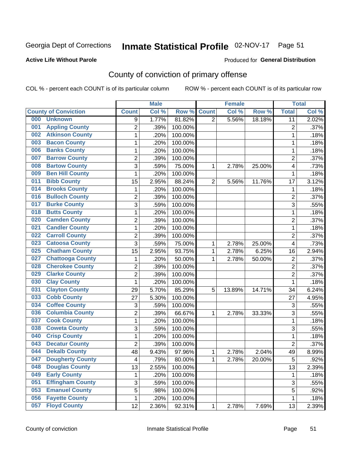## Inmate Statistical Profile 02-NOV-17 Page 51

#### **Active Life Without Parole**

#### Produced for General Distribution

## County of conviction of primary offense

COL % - percent each COUNT is of its particular column

|                                |                | <b>Male</b> |         |              | <b>Female</b> |        |                | <b>Total</b> |
|--------------------------------|----------------|-------------|---------|--------------|---------------|--------|----------------|--------------|
| <b>County of Conviction</b>    | <b>Count</b>   | Col%        | Row %   | <b>Count</b> | Col %         | Row %  | <b>Total</b>   | Col %        |
| 000<br><b>Unknown</b>          | 9              | 1.77%       | 81.82%  | 2            | 5.56%         | 18.18% | 11             | 2.02%        |
| <b>Appling County</b><br>001   | $\overline{2}$ | .39%        | 100.00% |              |               |        | $\overline{2}$ | .37%         |
| <b>Atkinson County</b><br>002  | 1              | .20%        | 100.00% |              |               |        | 1              | .18%         |
| <b>Bacon County</b><br>003     | 1              | .20%        | 100.00% |              |               |        | 1              | .18%         |
| <b>Banks County</b><br>006     | 1              | .20%        | 100.00% |              |               |        | 1              | .18%         |
| <b>Barrow County</b><br>007    | $\overline{2}$ | .39%        | 100.00% |              |               |        | $\overline{2}$ | .37%         |
| <b>Bartow County</b><br>008    | 3              | .59%        | 75.00%  | 1            | 2.78%         | 25.00% | 4              | .73%         |
| <b>Ben Hill County</b><br>009  | 1              | .20%        | 100.00% |              |               |        | 1              | .18%         |
| <b>Bibb County</b><br>011      | 15             | 2.95%       | 88.24%  | 2            | 5.56%         | 11.76% | 17             | 3.12%        |
| <b>Brooks County</b><br>014    | 1              | .20%        | 100.00% |              |               |        | 1              | .18%         |
| <b>Bulloch County</b><br>016   | $\overline{c}$ | .39%        | 100.00% |              |               |        | $\overline{c}$ | .37%         |
| <b>Burke County</b><br>017     | $\overline{3}$ | .59%        | 100.00% |              |               |        | $\overline{3}$ | .55%         |
| <b>Butts County</b><br>018     | 1              | .20%        | 100.00% |              |               |        | 1              | .18%         |
| <b>Camden County</b><br>020    | $\overline{2}$ | .39%        | 100.00% |              |               |        | $\sqrt{2}$     | .37%         |
| <b>Candler County</b><br>021   | 1              | .20%        | 100.00% |              |               |        | $\mathbf{1}$   | .18%         |
| <b>Carroll County</b><br>022   | $\overline{2}$ | .39%        | 100.00% |              |               |        | $\overline{2}$ | .37%         |
| <b>Catoosa County</b><br>023   | 3              | .59%        | 75.00%  | 1            | 2.78%         | 25.00% | 4              | .73%         |
| <b>Chatham County</b><br>025   | 15             | 2.95%       | 93.75%  | 1            | 2.78%         | 6.25%  | 16             | 2.94%        |
| <b>Chattooga County</b><br>027 | 1              | .20%        | 50.00%  | 1            | 2.78%         | 50.00% | 2              | .37%         |
| <b>Cherokee County</b><br>028  | $\overline{2}$ | .39%        | 100.00% |              |               |        | $\overline{2}$ | .37%         |
| <b>Clarke County</b><br>029    | 2              | .39%        | 100.00% |              |               |        | $\overline{c}$ | .37%         |
| <b>Clay County</b><br>030      | 1              | .20%        | 100.00% |              |               |        | 1              | .18%         |
| <b>Clayton County</b><br>031   | 29             | 5.70%       | 85.29%  | 5            | 13.89%        | 14.71% | 34             | 6.24%        |
| <b>Cobb County</b><br>033      | 27             | 5.30%       | 100.00% |              |               |        | 27             | 4.95%        |
| <b>Coffee County</b><br>034    | 3              | .59%        | 100.00% |              |               |        | $\mathfrak{S}$ | .55%         |
| <b>Columbia County</b><br>036  | $\overline{2}$ | .39%        | 66.67%  | 1            | 2.78%         | 33.33% | 3              | .55%         |
| <b>Cook County</b><br>037      | 1              | .20%        | 100.00% |              |               |        | $\mathbf{1}$   | .18%         |
| <b>Coweta County</b><br>038    | $\overline{3}$ | .59%        | 100.00% |              |               |        | $\overline{3}$ | .55%         |
| <b>Crisp County</b><br>040     | 1              | .20%        | 100.00% |              |               |        | $\mathbf{1}$   | .18%         |
| <b>Decatur County</b><br>043   | $\overline{2}$ | .39%        | 100.00% |              |               |        | $\overline{2}$ | .37%         |
| <b>Dekalb County</b><br>044    | 48             | 9.43%       | 97.96%  | 1            | 2.78%         | 2.04%  | 49             | 8.99%        |
| 047<br><b>Dougherty County</b> | 4              | .79%        | 80.00%  | 1            | 2.78%         | 20.00% | 5              | $.92\%$      |
| <b>Douglas County</b><br>048   | 13             | 2.55%       | 100.00% |              |               |        | 13             | 2.39%        |
| <b>Early County</b><br>049     | 1              | .20%        | 100.00% |              |               |        | 1              | .18%         |
| <b>Effingham County</b><br>051 | 3              | .59%        | 100.00% |              |               |        | 3              | .55%         |
| <b>Emanuel County</b><br>053   | 5              | .98%        | 100.00% |              |               |        | 5              | .92%         |
| <b>Fayette County</b><br>056   | 1              | .20%        | 100.00% |              |               |        | $\mathbf{1}$   | .18%         |
| <b>Floyd County</b><br>057     | 12             | 2.36%       | 92.31%  | $\mathbf{1}$ | 2.78%         | 7.69%  | 13             | 2.39%        |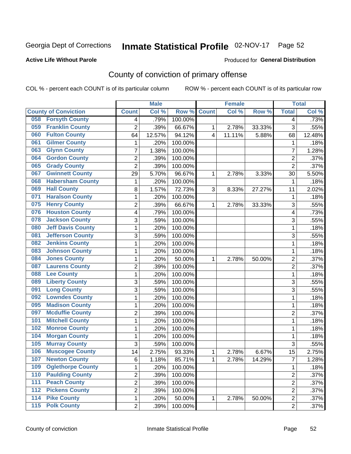## Inmate Statistical Profile 02-NOV-17 Page 52

#### **Active Life Without Parole**

#### Produced for General Distribution

## County of conviction of primary offense

COL % - percent each COUNT is of its particular column

|                                        |                         | <b>Male</b> |         |              | <b>Female</b> |        |                | <b>Total</b> |
|----------------------------------------|-------------------------|-------------|---------|--------------|---------------|--------|----------------|--------------|
| <b>County of Conviction</b>            | <b>Count</b>            | Col %       | Row %   | <b>Count</b> | Col %         | Row %  | <b>Total</b>   | Col %        |
| <b>Forsyth County</b><br>058           | 4                       | .79%        | 100.00% |              |               |        | 4              | .73%         |
| <b>Franklin County</b><br>059          | $\overline{2}$          | .39%        | 66.67%  | 1            | 2.78%         | 33.33% | 3              | .55%         |
| <b>Fulton County</b><br>060            | 64                      | 12.57%      | 94.12%  | 4            | 11.11%        | 5.88%  | 68             | 12.48%       |
| <b>Gilmer County</b><br>061            | 1                       | .20%        | 100.00% |              |               |        | $\mathbf 1$    | .18%         |
| <b>Glynn County</b><br>063             | 7                       | 1.38%       | 100.00% |              |               |        | $\overline{7}$ | 1.28%        |
| <b>Gordon County</b><br>064            | $\overline{2}$          | .39%        | 100.00% |              |               |        | $\overline{2}$ | .37%         |
| <b>Grady County</b><br>065             | $\overline{2}$          | .39%        | 100.00% |              |               |        | $\overline{2}$ | .37%         |
| <b>Gwinnett County</b><br>067          | 29                      | 5.70%       | 96.67%  | 1            | 2.78%         | 3.33%  | 30             | 5.50%        |
| <b>Habersham County</b><br>068         | 1                       | .20%        | 100.00% |              |               |        | 1              | .18%         |
| <b>Hall County</b><br>069              | 8                       | 1.57%       | 72.73%  | 3            | 8.33%         | 27.27% | 11             | 2.02%        |
| <b>Haralson County</b><br>071          | 1                       | .20%        | 100.00% |              |               |        | 1              | .18%         |
| <b>Henry County</b><br>075             | $\overline{2}$          | .39%        | 66.67%  | 1            | 2.78%         | 33.33% | 3              | .55%         |
| <b>Houston County</b><br>076           | 4                       | .79%        | 100.00% |              |               |        | 4              | .73%         |
| <b>Jackson County</b><br>078           | 3                       | .59%        | 100.00% |              |               |        | 3              | .55%         |
| <b>Jeff Davis County</b><br>080        | $\mathbf{1}$            | .20%        | 100.00% |              |               |        | 1              | .18%         |
| <b>Jefferson County</b><br>081         | $\overline{3}$          | .59%        | 100.00% |              |               |        | 3              | .55%         |
| <b>Jenkins County</b><br>082           | $\mathbf{1}$            | .20%        | 100.00% |              |               |        | $\mathbf{1}$   | .18%         |
| <b>Johnson County</b><br>083           | $\mathbf{1}$            | .20%        | 100.00% |              |               |        | $\mathbf{1}$   | .18%         |
| <b>Jones County</b><br>084             | $\mathbf{1}$            | .20%        | 50.00%  | 1            | 2.78%         | 50.00% | $\overline{2}$ | .37%         |
| <b>Laurens County</b><br>087           | $\overline{2}$          | .39%        | 100.00% |              |               |        | $\overline{2}$ | .37%         |
| <b>Lee County</b><br>088               | $\mathbf{1}$            | .20%        | 100.00% |              |               |        | $\mathbf{1}$   | .18%         |
| <b>Liberty County</b><br>089           | 3                       | .59%        | 100.00% |              |               |        | 3              | .55%         |
| <b>Long County</b><br>091              | 3                       | .59%        | 100.00% |              |               |        | 3              | .55%         |
| <b>Lowndes County</b><br>092           | 1                       | .20%        | 100.00% |              |               |        | $\mathbf{1}$   | .18%         |
| <b>Madison County</b><br>095           | $\mathbf{1}$            | .20%        | 100.00% |              |               |        | 1              | .18%         |
| <b>Mcduffie County</b><br>097          | $\overline{2}$          | .39%        | 100.00% |              |               |        | $\overline{2}$ | .37%         |
| <b>Mitchell County</b><br>101          | $\mathbf{1}$            | .20%        | 100.00% |              |               |        | 1              | .18%         |
| <b>Monroe County</b><br>102            | 1                       | .20%        | 100.00% |              |               |        | 1              | .18%         |
| <b>Morgan County</b><br>104            | $\mathbf{1}$            | .20%        | 100.00% |              |               |        | $\mathbf{1}$   | .18%         |
| <b>Murray County</b><br>105            | 3                       | .59%        | 100.00% |              |               |        | 3              | .55%         |
| <b>Muscogee County</b><br>106          | 14                      | 2.75%       | 93.33%  | 1            | 2.78%         | 6.67%  | 15             | 2.75%        |
| 107<br><b>Newton County</b>            | 6                       | 1.18%       | 85.71%  | 1            | 2.78%         | 14.29% | $\prime$       | 1.28%        |
| <b>Oglethorpe County</b><br>109        | 1                       | .20%        | 100.00% |              |               |        | 1              | .18%         |
| <b>Paulding County</b><br>110          | $\overline{c}$          | .39%        | 100.00% |              |               |        | $\overline{2}$ | .37%         |
| <b>Peach County</b><br>111             | $\overline{\mathbf{c}}$ | .39%        | 100.00% |              |               |        | $\overline{c}$ | .37%         |
| <b>Pickens County</b><br>112           | $\overline{2}$          | .39%        | 100.00% |              |               |        | $\overline{2}$ | .37%         |
| <b>Pike County</b><br>114              | 1                       | .20%        | 50.00%  | 1            | 2.78%         | 50.00% | $\overline{c}$ | .37%         |
| <b>Polk County</b><br>$\overline{115}$ | $\overline{2}$          | .39%        | 100.00% |              |               |        | $\overline{2}$ | .37%         |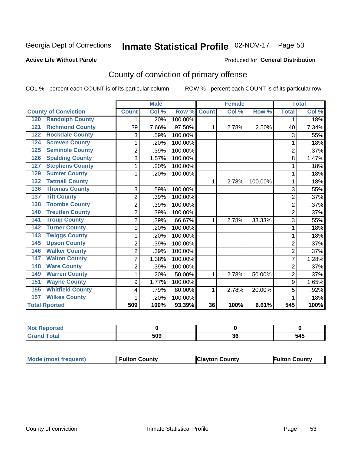## Inmate Statistical Profile 02-NOV-17 Page 53

#### **Active Life Without Parole**

### **Produced for General Distribution**

## County of conviction of primary offense

COL % - percent each COUNT is of its particular column

|                                |                | <b>Male</b> |         |              | <b>Female</b> |         |                | <b>Total</b> |
|--------------------------------|----------------|-------------|---------|--------------|---------------|---------|----------------|--------------|
| <b>County of Conviction</b>    | <b>Count</b>   | Col %       | Row %   | <b>Count</b> | Col %         | Row %   | <b>Total</b>   | Col %        |
| <b>Randolph County</b><br>120  | 1              | .20%        | 100.00% |              |               |         | 1              | .18%         |
| <b>Richmond County</b><br>121  | 39             | 7.66%       | 97.50%  | 1            | 2.78%         | 2.50%   | 40             | 7.34%        |
| <b>Rockdale County</b><br>122  | 3              | .59%        | 100.00% |              |               |         | 3              | .55%         |
| <b>Screven County</b><br>124   | 1              | .20%        | 100.00% |              |               |         | 1              | .18%         |
| <b>Seminole County</b><br>125  | $\overline{2}$ | .39%        | 100.00% |              |               |         | $\overline{2}$ | .37%         |
| <b>Spalding County</b><br>126  | 8              | 1.57%       | 100.00% |              |               |         | 8              | 1.47%        |
| <b>Stephens County</b><br>127  | 1              | .20%        | 100.00% |              |               |         | 1              | .18%         |
| <b>Sumter County</b><br>129    | 1              | .20%        | 100.00% |              |               |         | 1              | .18%         |
| <b>Tattnall County</b><br>132  |                |             |         | 1            | 2.78%         | 100.00% | 1              | .18%         |
| <b>Thomas County</b><br>136    | 3              | .59%        | 100.00% |              |               |         | 3              | .55%         |
| <b>Tift County</b><br>137      | $\overline{2}$ | .39%        | 100.00% |              |               |         | $\overline{2}$ | .37%         |
| <b>Toombs County</b><br>138    | $\overline{c}$ | .39%        | 100.00% |              |               |         | $\overline{2}$ | .37%         |
| <b>Treutlen County</b><br>140  | $\overline{c}$ | .39%        | 100.00% |              |               |         | $\overline{2}$ | .37%         |
| <b>Troup County</b><br>141     | $\overline{c}$ | .39%        | 66.67%  | 1            | 2.78%         | 33.33%  | 3              | .55%         |
| <b>Turner County</b><br>142    | 1              | .20%        | 100.00% |              |               |         | 1              | .18%         |
| <b>Twiggs County</b><br>143    | 1              | .20%        | 100.00% |              |               |         | 1              | .18%         |
| <b>Upson County</b><br>145     | $\overline{2}$ | .39%        | 100.00% |              |               |         | $\overline{2}$ | .37%         |
| <b>Walker County</b><br>146    | $\overline{2}$ | .39%        | 100.00% |              |               |         | $\overline{2}$ | .37%         |
| <b>Walton County</b><br>147    | $\overline{7}$ | 1.38%       | 100.00% |              |               |         | $\overline{7}$ | 1.28%        |
| <b>Ware County</b><br>148      | $\overline{2}$ | .39%        | 100.00% |              |               |         | $\overline{2}$ | .37%         |
| <b>Warren County</b><br>149    | 1              | .20%        | 50.00%  | 1            | 2.78%         | 50.00%  | $\overline{2}$ | .37%         |
| <b>Wayne County</b><br>151     | 9              | 1.77%       | 100.00% |              |               |         | 9              | 1.65%        |
| <b>Whitfield County</b><br>155 | 4              | .79%        | 80.00%  | 1            | 2.78%         | 20.00%  | 5              | .92%         |
| <b>Wilkes County</b><br>157    | 1              | .20%        | 100.00% |              |               |         | 1              | .18%         |
| <b>Total Rported</b>           | 509            | 100%        | 93.39%  | 36           | 100%          | 6.61%   | 545            | 100%         |

| : Reported<br>'NOT           |     |           |     |
|------------------------------|-----|-----------|-----|
| <b>Total</b><br><b>Grand</b> | 509 | ^^<br>ึงเ | 545 |

| <b>Mode (most frequent)</b> | <b>Fulton County</b> | <b>Clayton County</b> | <b>Fulton County</b> |
|-----------------------------|----------------------|-----------------------|----------------------|
|-----------------------------|----------------------|-----------------------|----------------------|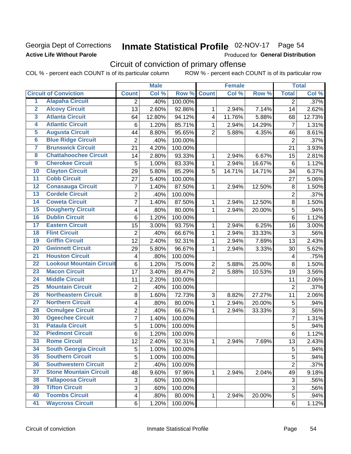## Georgia Dept of Corrections **Active Life Without Parole**

# Inmate Statistical Profile 02-NOV-17 Page 54

Produced for General Distribution

## Circuit of conviction of primary offense

|                         |                                 |                         | <b>Male</b> |         |                | <b>Female</b> |        |                           | <b>Total</b> |
|-------------------------|---------------------------------|-------------------------|-------------|---------|----------------|---------------|--------|---------------------------|--------------|
|                         | <b>Circuit of Conviction</b>    | <b>Count</b>            | Col %       | Row %   | <b>Count</b>   | Col %         | Row %  | <b>Total</b>              | Col %        |
| 1                       | <b>Alapaha Circuit</b>          | 2                       | .40%        | 100.00% |                |               |        | $\overline{2}$            | .37%         |
| $\overline{2}$          | <b>Alcovy Circuit</b>           | 13                      | 2.60%       | 92.86%  | 1              | 2.94%         | 7.14%  | 14                        | 2.62%        |
| $\overline{\mathbf{3}}$ | <b>Atlanta Circuit</b>          | 64                      | 12.80%      | 94.12%  | 4              | 11.76%        | 5.88%  | 68                        | 12.73%       |
| 4                       | <b>Atlantic Circuit</b>         | 6                       | 1.20%       | 85.71%  | 1              | 2.94%         | 14.29% | $\overline{7}$            | 1.31%        |
| 5                       | <b>Augusta Circuit</b>          | 44                      | 8.80%       | 95.65%  | $\overline{2}$ | 5.88%         | 4.35%  | 46                        | 8.61%        |
| $\overline{6}$          | <b>Blue Ridge Circuit</b>       | $\overline{2}$          | .40%        | 100.00% |                |               |        | $\overline{2}$            | .37%         |
| 7                       | <b>Brunswick Circuit</b>        | 21                      | 4.20%       | 100.00% |                |               |        | 21                        | 3.93%        |
| 8                       | <b>Chattahoochee Circuit</b>    | 14                      | 2.80%       | 93.33%  | 1              | 2.94%         | 6.67%  | 15                        | 2.81%        |
| $\overline{9}$          | <b>Cherokee Circuit</b>         | 5                       | 1.00%       | 83.33%  | 1              | 2.94%         | 16.67% | $6\phantom{1}6$           | 1.12%        |
| 10                      | <b>Clayton Circuit</b>          | 29                      | 5.80%       | 85.29%  | 5              | 14.71%        | 14.71% | 34                        | 6.37%        |
| $\overline{11}$         | <b>Cobb Circuit</b>             | 27                      | 5.40%       | 100.00% |                |               |        | 27                        | 5.06%        |
| $\overline{12}$         | <b>Conasauga Circuit</b>        | $\overline{7}$          | 1.40%       | 87.50%  | 1              | 2.94%         | 12.50% | 8                         | 1.50%        |
| 13                      | <b>Cordele Circuit</b>          | 2                       | .40%        | 100.00% |                |               |        | $\overline{2}$            | .37%         |
| 14                      | <b>Coweta Circuit</b>           | 7                       | 1.40%       | 87.50%  | $\mathbf{1}$   | 2.94%         | 12.50% | 8                         | 1.50%        |
| $\overline{15}$         | <b>Dougherty Circuit</b>        | $\overline{\mathbf{4}}$ | .80%        | 80.00%  | $\mathbf{1}$   | 2.94%         | 20.00% | 5                         | .94%         |
| 16                      | <b>Dublin Circuit</b>           | 6                       | 1.20%       | 100.00% |                |               |        | 6                         | 1.12%        |
| 17                      | <b>Eastern Circuit</b>          | 15                      | 3.00%       | 93.75%  | 1              | 2.94%         | 6.25%  | 16                        | 3.00%        |
| 18                      | <b>Flint Circuit</b>            | $\overline{2}$          | .40%        | 66.67%  | $\mathbf{1}$   | 2.94%         | 33.33% | 3                         | .56%         |
| 19                      | <b>Griffin Circuit</b>          | 12                      | 2.40%       | 92.31%  | 1              | 2.94%         | 7.69%  | 13                        | 2.43%        |
| 20                      | <b>Gwinnett Circuit</b>         | 29                      | 5.80%       | 96.67%  | 1              | 2.94%         | 3.33%  | 30                        | 5.62%        |
| $\overline{21}$         | <b>Houston Circuit</b>          | $\overline{\mathbf{4}}$ | .80%        | 100.00% |                |               |        | $\overline{\mathbf{4}}$   | .75%         |
| $\overline{22}$         | <b>Lookout Mountain Circuit</b> | $\,6$                   | 1.20%       | 75.00%  | $\overline{2}$ | 5.88%         | 25.00% | 8                         | 1.50%        |
| 23                      | <b>Macon Circuit</b>            | 17                      | 3.40%       | 89.47%  | $\overline{2}$ | 5.88%         | 10.53% | 19                        | 3.56%        |
| $\overline{24}$         | <b>Middle Circuit</b>           | 11                      | 2.20%       | 100.00% |                |               |        | 11                        | 2.06%        |
| 25                      | <b>Mountain Circuit</b>         | $\mathbf 2$             | .40%        | 100.00% |                |               |        | $\overline{2}$            | .37%         |
| 26                      | <b>Northeastern Circuit</b>     | 8                       | 1.60%       | 72.73%  | 3              | 8.82%         | 27.27% | 11                        | 2.06%        |
| $\overline{27}$         | <b>Northern Circuit</b>         | 4                       | .80%        | 80.00%  | 1              | 2.94%         | 20.00% | 5                         | .94%         |
| 28                      | <b>Ocmulgee Circuit</b>         | $\overline{2}$          | .40%        | 66.67%  | 1              | 2.94%         | 33.33% | $\ensuremath{\mathsf{3}}$ | .56%         |
| 30                      | <b>Ogeechee Circuit</b>         | 7                       | 1.40%       | 100.00% |                |               |        | 7                         | 1.31%        |
| $\overline{31}$         | <b>Pataula Circuit</b>          | 5                       | 1.00%       | 100.00% |                |               |        | 5                         | .94%         |
| $\overline{32}$         | <b>Piedmont Circuit</b>         | $\overline{6}$          | 1.20%       | 100.00% |                |               |        | $\,6$                     | 1.12%        |
| 33                      | <b>Rome Circuit</b>             | 12                      | 2.40%       | 92.31%  | 1              | 2.94%         | 7.69%  | 13                        | 2.43%        |
| 34                      | <b>South Georgia Circuit</b>    | 5                       | 1.00%       | 100.00% |                |               |        | 5                         | .94%         |
| 35                      | <b>Southern Circuit</b>         | 5                       | 1.00%       | 100.00% |                |               |        | 5                         | .94%         |
| 36                      | <b>Southwestern Circuit</b>     | 2                       | .40%        | 100.00% |                |               |        | $\overline{2}$            | .37%         |
| 37                      | <b>Stone Mountain Circuit</b>   | 48                      | 9.60%       | 97.96%  | 1              | 2.94%         | 2.04%  | 49                        | 9.18%        |
| 38                      | <b>Tallapoosa Circuit</b>       | 3                       | .60%        | 100.00% |                |               |        | 3                         | .56%         |
| 39                      | <b>Tifton Circuit</b>           | 3                       | .60%        | 100.00% |                |               |        | 3                         | .56%         |
| 40                      | <b>Toombs Circuit</b>           | $\overline{\mathbf{4}}$ | .80%        | 80.00%  | 1              | 2.94%         | 20.00% | 5                         | .94%         |
| 41                      | <b>Waycross Circuit</b>         | 6                       | 1.20%       | 100.00% |                |               |        | 6                         | 1.12%        |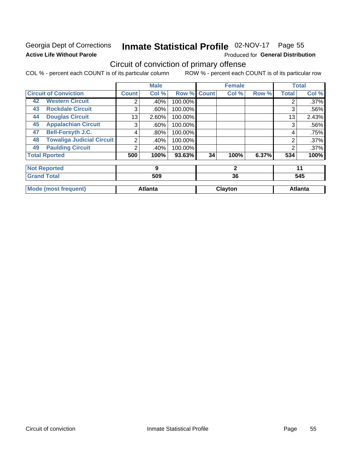## Georgia Dept of Corrections **Active Life Without Parole**

# Inmate Statistical Profile 02-NOV-17 Page 55

Produced for General Distribution

## Circuit of conviction of primary offense

|                                        |              | <b>Male</b>    |                    |    | <b>Female</b> |       |                | <b>Total</b>   |
|----------------------------------------|--------------|----------------|--------------------|----|---------------|-------|----------------|----------------|
| <b>Circuit of Conviction</b>           | <b>Count</b> | Col %          | <b>Row % Count</b> |    | Col %         | Row % | <b>Total</b>   | Col %          |
| <b>Western Circuit</b><br>42           | 2            | .40%           | 100.00%            |    |               |       | 2              | .37%           |
| <b>Rockdale Circuit</b><br>43          | 3            | $.60\%$        | 100.00%            |    |               |       | 3              | .56%           |
| <b>Douglas Circuit</b><br>44           | 13           | 2.60%          | 100.00%            |    |               |       | 13             | 2.43%          |
| <b>Appalachian Circuit</b><br>45       | 3            | $.60\%$        | 100.00%            |    |               |       | 3              | .56%           |
| <b>Bell-Forsyth J.C.</b><br>47         | 4            | $.80\%$        | 100.00%            |    |               |       | 4              | .75%           |
| <b>Towaliga Judicial Circuit</b><br>48 | 2            | .40%           | 100.00%            |    |               |       | 2              | .37%           |
| <b>Paulding Circuit</b><br>49          | 2            | .40%           | 100.00%            |    |               |       | $\overline{2}$ | .37%           |
| <b>Total Rported</b>                   | 500          | 100%           | 93.63%             | 34 | 100%          | 6.37% | 534            | 100%           |
| <b>Not Reported</b>                    |              | 9              |                    |    | $\mathbf{2}$  |       |                | 11             |
| <b>Grand Total</b>                     | 509          |                | 36                 |    |               | 545   |                |                |
| <b>Mode (most frequent)</b>            |              | <b>Atlanta</b> |                    |    | Clayton       |       |                | <b>Atlanta</b> |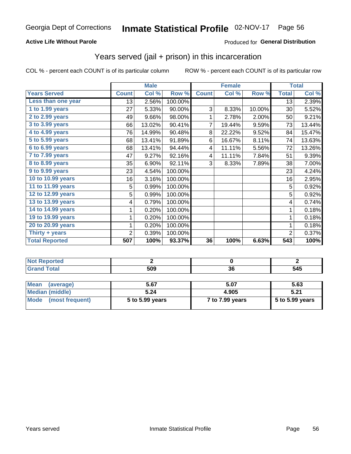### **Active Life Without Parole**

### Produced for General Distribution

## Years served (jail + prison) in this incarceration

COL % - percent each COUNT is of its particular column

|                       |              | <b>Male</b> |         |                 | <b>Female</b> |        |                  | <b>Total</b> |
|-----------------------|--------------|-------------|---------|-----------------|---------------|--------|------------------|--------------|
| <b>Years Served</b>   | <b>Count</b> | Col %       | Row %   | <b>Count</b>    | Col %         | Row %  | <b>Total</b>     | Col %        |
| Less than one year    | 13           | 2.56%       | 100.00% |                 |               |        | 13               | 2.39%        |
| 1 to 1.99 years       | 27           | 5.33%       | 90.00%  | 3               | 8.33%         | 10.00% | 30               | 5.52%        |
| 2 to 2.99 years       | 49           | 9.66%       | 98.00%  | 1               | 2.78%         | 2.00%  | 50               | 9.21%        |
| 3 to 3.99 years       | 66           | 13.02%      | 90.41%  | 7               | 19.44%        | 9.59%  | 73               | 13.44%       |
| 4 to 4.99 years       | 76           | 14.99%      | 90.48%  | 8               | 22.22%        | 9.52%  | 84               | 15.47%       |
| $5$ to $5.99$ years   | 68           | 13.41%      | 91.89%  | 6               | 16.67%        | 8.11%  | 74               | 13.63%       |
| 6 to 6.99 years       | 68           | 13.41%      | 94.44%  | 4               | 11.11%        | 5.56%  | 72               | 13.26%       |
| 7 to 7.99 years       | 47           | 9.27%       | 92.16%  | 4               | 11.11%        | 7.84%  | 51               | 9.39%        |
| 8 to 8.99 years       | 35           | 6.90%       | 92.11%  | 3               | 8.33%         | 7.89%  | 38               | 7.00%        |
| 9 to 9.99 years       | 23           | 4.54%       | 100.00% |                 |               |        | 23               | 4.24%        |
| 10 to 10.99 years     | 16           | 3.16%       | 100.00% |                 |               |        | 16               | 2.95%        |
| 11 to 11.99 years     | 5            | 0.99%       | 100.00% |                 |               |        | 5                | 0.92%        |
| 12 to 12.99 years     | 5            | 0.99%       | 100.00% |                 |               |        | 5                | 0.92%        |
| 13 to 13.99 years     | 4            | 0.79%       | 100.00% |                 |               |        | 4                | 0.74%        |
| 14 to 14.99 years     | 1            | 0.20%       | 100.00% |                 |               |        | 1                | 0.18%        |
| 19 to 19.99 years     | 1            | 0.20%       | 100.00% |                 |               |        | 1                | 0.18%        |
| 20 to 20.99 years     | 1            | 0.20%       | 100.00% |                 |               |        | 1                | 0.18%        |
| Thirty + years        | 2            | 0.39%       | 100.00% |                 |               |        | 2                | 0.37%        |
| <b>Total Reported</b> | 507          | 100%        | 93.37%  | $\overline{36}$ | 100%          | 6.63%  | $\overline{543}$ | 100%         |

| -- |            |               |           |
|----|------------|---------------|-----------|
|    | <b>EOO</b> | <b></b><br>v. | --<br>ノイソ |

| Mean<br>(average)    | 5.67            | 5.07            | 5.63            |
|----------------------|-----------------|-----------------|-----------------|
| Median (middle)      | 5.24            | 4.905           | 5.21            |
| Mode (most frequent) | 5 to 5.99 years | 7 to 7.99 years | 5 to 5.99 years |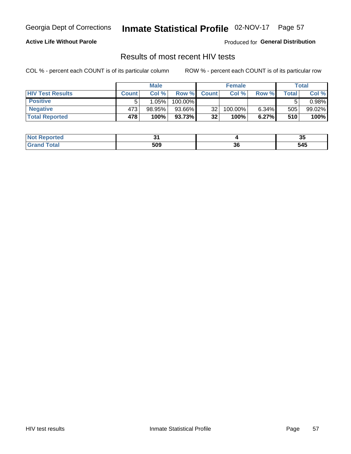## Inmate Statistical Profile 02-NOV-17 Page 57

### **Active Life Without Parole**

Produced for General Distribution

## Results of most recent HIV tests

COL % - percent each COUNT is of its particular column

|                         | <b>Male</b>  |        |         | <b>Female</b>   |         |       | Total       |        |
|-------------------------|--------------|--------|---------|-----------------|---------|-------|-------------|--------|
| <b>HIV Test Results</b> | <b>Count</b> | Col%   | Row %I  | <b>Count</b>    | Col %   | Row % | $\tau$ otal | Col %  |
| <b>Positive</b>         |              | 1.05%  | 100.00% |                 |         |       |             | 0.98%  |
| <b>Negative</b>         | 473          | 98.95% | 93.66%  | 32 <sub>1</sub> | 100.00% | 6.34% | 505         | 99.02% |
| <b>Total Reported</b>   | 478          | 100%   | 93.73%  | 32              | 100%    | 6.27% | 510         | 100%   |

| Reported<br><b>NOT</b> |     |    | . .<br>v, |
|------------------------|-----|----|-----------|
| <b>otal</b>            | 509 | კხ | 545       |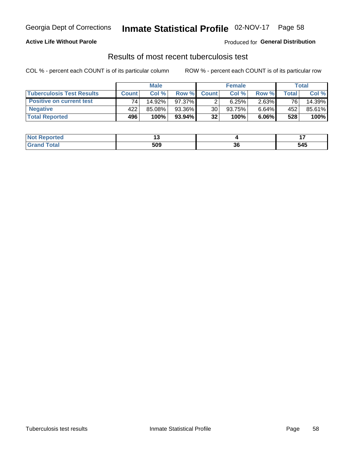## Georgia Dept of Corrections **Inmate Statistical Profile** 02-NOV-17 Page 58

### **Active Life Without Parole**

Produced for **General Distribution**

## Results of most recent tuberculosis test

|                                  | <b>Male</b>  |        |           | <b>Female</b> |        |       | Total |        |
|----------------------------------|--------------|--------|-----------|---------------|--------|-------|-------|--------|
| <b>Tuberculosis Test Results</b> | <b>Count</b> | Col%   | Row %I    | <b>Count</b>  | Col%   | Row % | Total | Col %  |
| <b>Positive on current test</b>  | 74           | 14.92% | 97.37%    |               | 6.25%  | 2.63% | 76    | 14.39% |
| <b>Negative</b>                  | 422          | 85.08% | 93.36%    | 30            | 93.75% | 6.64% | 452   | 85.61% |
| <b>Total Reported</b>            | 496          | 100%   | $93.94\%$ | 32            | 100%   | 6.06% | 528   | 100%   |

| <b>Not Reported</b> |     |         |     |
|---------------------|-----|---------|-----|
| <b>Total</b>        | 509 | …<br>ად | 545 |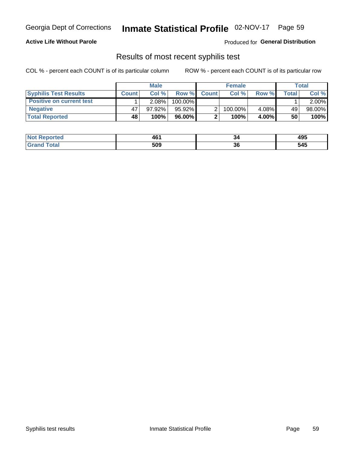## Georgia Dept of Corrections **Inmate Statistical Profile** 02-NOV-17 Page 59

### **Active Life Without Parole**

Produced for **General Distribution**

## Results of most recent syphilis test

|                                 | <b>Male</b>  |           |           | <b>Female</b> |         |          | Total |          |
|---------------------------------|--------------|-----------|-----------|---------------|---------|----------|-------|----------|
| <b>Syphilis Test Results</b>    | <b>Count</b> | Col%      | Row %     | <b>Count</b>  | Col %   | Row %I   | Total | Col %    |
| <b>Positive on current test</b> |              | $2.08\%$  | 100.00%   |               |         |          |       | $2.00\%$ |
| <b>Negative</b>                 | 47           | $97.92\%$ | $95.92\%$ |               | 100.00% | 4.08%    | 49    | 98.00%   |
| <b>Total Reported</b>           | 48           | 100%      | $96.00\%$ |               | 100%    | $4.00\%$ | 50    | 100%     |

| <b>Not Reported</b> | 461 | 34       | 495 |
|---------------------|-----|----------|-----|
| <b>Grand Total</b>  | 509 | ^^<br>კხ | 545 |